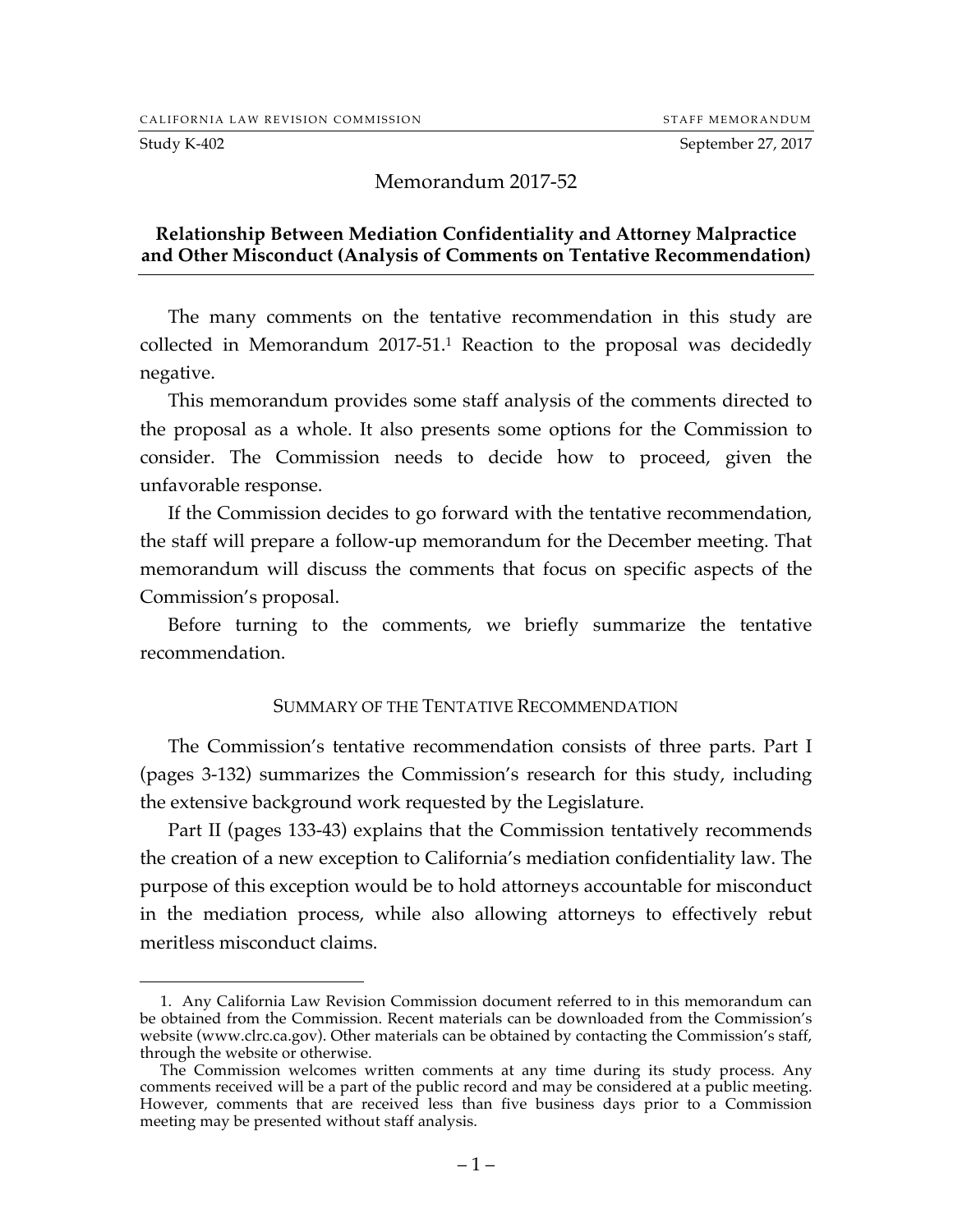Study K-402 September 27, 2017

 $\overline{a}$ 

### Memorandum 2017-52

### **Relationship Between Mediation Confidentiality and Attorney Malpractice and Other Misconduct (Analysis of Comments on Tentative Recommendation)**

The many comments on the tentative recommendation in this study are collected in Memorandum 2017-51.1 Reaction to the proposal was decidedly negative.

This memorandum provides some staff analysis of the comments directed to the proposal as a whole. It also presents some options for the Commission to consider. The Commission needs to decide how to proceed, given the unfavorable response.

If the Commission decides to go forward with the tentative recommendation, the staff will prepare a follow-up memorandum for the December meeting. That memorandum will discuss the comments that focus on specific aspects of the Commission's proposal.

Before turning to the comments, we briefly summarize the tentative recommendation.

#### SUMMARY OF THE TENTATIVE RECOMMENDATION

The Commission's tentative recommendation consists of three parts. Part I (pages 3-132) summarizes the Commission's research for this study, including the extensive background work requested by the Legislature.

Part II (pages 133-43) explains that the Commission tentatively recommends the creation of a new exception to California's mediation confidentiality law. The purpose of this exception would be to hold attorneys accountable for misconduct in the mediation process, while also allowing attorneys to effectively rebut meritless misconduct claims.

<sup>1.</sup> Any California Law Revision Commission document referred to in this memorandum can be obtained from the Commission. Recent materials can be downloaded from the Commission's website (www.clrc.ca.gov). Other materials can be obtained by contacting the Commission's staff, through the website or otherwise.

The Commission welcomes written comments at any time during its study process. Any comments received will be a part of the public record and may be considered at a public meeting. However, comments that are received less than five business days prior to a Commission meeting may be presented without staff analysis.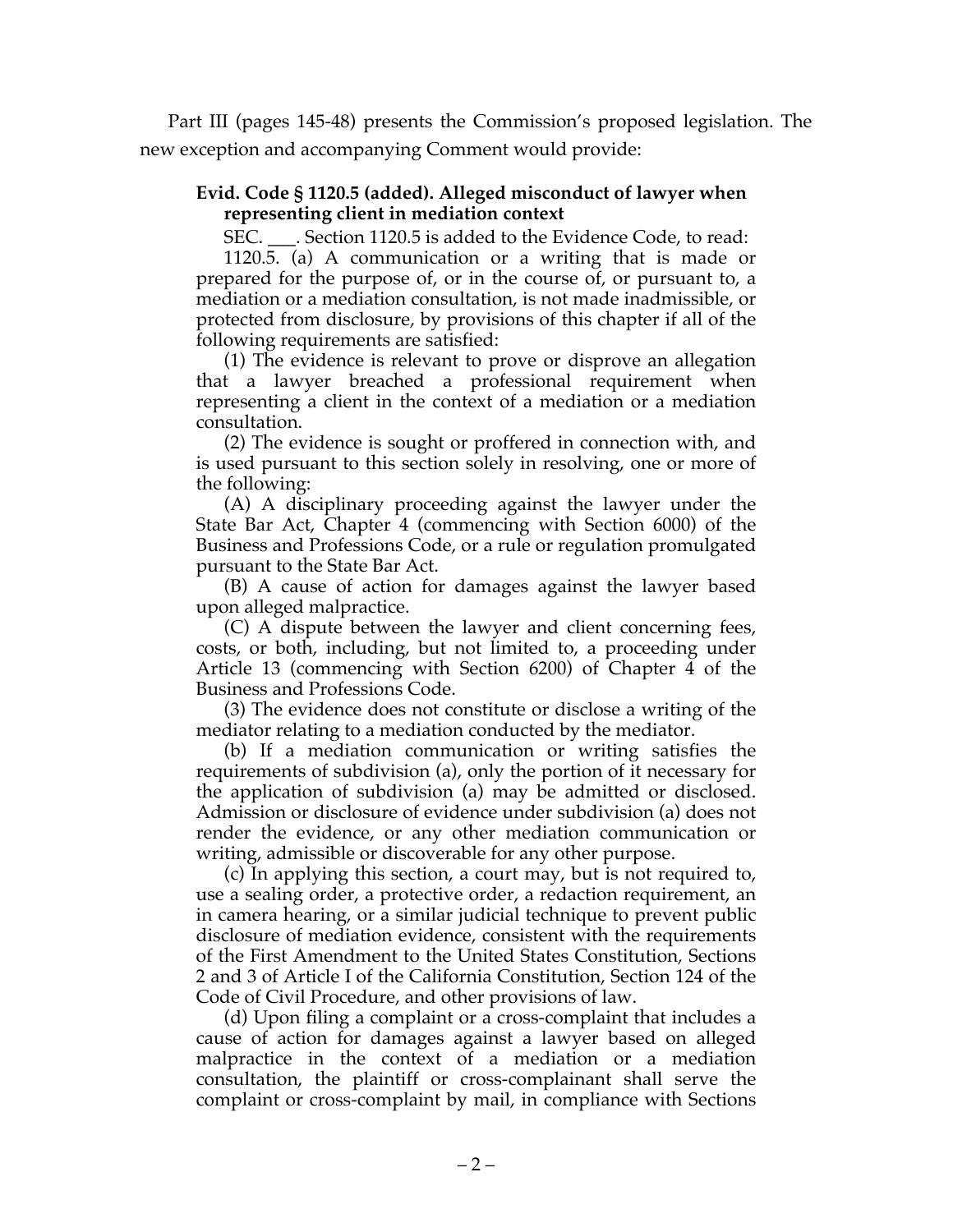Part III (pages 145-48) presents the Commission's proposed legislation. The new exception and accompanying Comment would provide:

## **Evid. Code § 1120.5 (added). Alleged misconduct of lawyer when representing client in mediation context**

SEC. \_\_\_. Section 1120.5 is added to the Evidence Code, to read:

1120.5. (a) A communication or a writing that is made or prepared for the purpose of, or in the course of, or pursuant to, a mediation or a mediation consultation, is not made inadmissible, or protected from disclosure, by provisions of this chapter if all of the following requirements are satisfied:

(1) The evidence is relevant to prove or disprove an allegation that a lawyer breached a professional requirement when representing a client in the context of a mediation or a mediation consultation.

(2) The evidence is sought or proffered in connection with, and is used pursuant to this section solely in resolving, one or more of the following:

(A) A disciplinary proceeding against the lawyer under the State Bar Act, Chapter 4 (commencing with Section 6000) of the Business and Professions Code, or a rule or regulation promulgated pursuant to the State Bar Act.

(B) A cause of action for damages against the lawyer based upon alleged malpractice.

(C) A dispute between the lawyer and client concerning fees, costs, or both, including, but not limited to, a proceeding under Article 13 (commencing with Section 6200) of Chapter 4 of the Business and Professions Code.

(3) The evidence does not constitute or disclose a writing of the mediator relating to a mediation conducted by the mediator.

(b) If a mediation communication or writing satisfies the requirements of subdivision (a), only the portion of it necessary for the application of subdivision (a) may be admitted or disclosed. Admission or disclosure of evidence under subdivision (a) does not render the evidence, or any other mediation communication or writing, admissible or discoverable for any other purpose.

(c) In applying this section, a court may, but is not required to, use a sealing order, a protective order, a redaction requirement, an in camera hearing, or a similar judicial technique to prevent public disclosure of mediation evidence, consistent with the requirements of the First Amendment to the United States Constitution, Sections 2 and 3 of Article I of the California Constitution, Section 124 of the Code of Civil Procedure, and other provisions of law.

(d) Upon filing a complaint or a cross-complaint that includes a cause of action for damages against a lawyer based on alleged malpractice in the context of a mediation or a mediation consultation, the plaintiff or cross-complainant shall serve the complaint or cross-complaint by mail, in compliance with Sections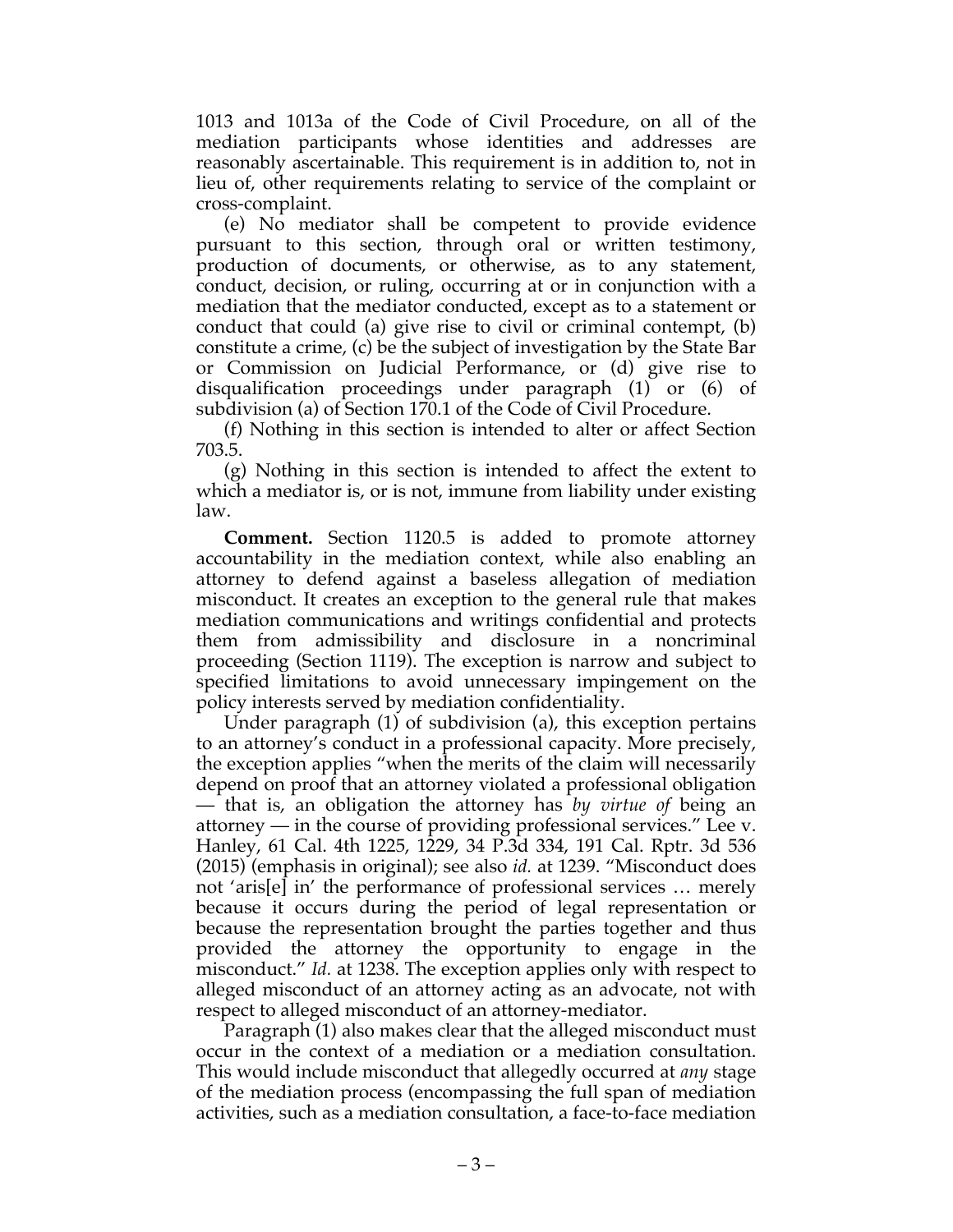1013 and 1013a of the Code of Civil Procedure, on all of the mediation participants whose identities and addresses are reasonably ascertainable. This requirement is in addition to, not in lieu of, other requirements relating to service of the complaint or cross-complaint.

(e) No mediator shall be competent to provide evidence pursuant to this section, through oral or written testimony, production of documents, or otherwise, as to any statement, conduct, decision, or ruling, occurring at or in conjunction with a mediation that the mediator conducted, except as to a statement or conduct that could (a) give rise to civil or criminal contempt, (b) constitute a crime, (c) be the subject of investigation by the State Bar or Commission on Judicial Performance, or (d) give rise to disqualification proceedings under paragraph (1) or (6) of subdivision (a) of Section 170.1 of the Code of Civil Procedure.

(f) Nothing in this section is intended to alter or affect Section 703.5.

(g) Nothing in this section is intended to affect the extent to which a mediator is, or is not, immune from liability under existing law.

**Comment.** Section 1120.5 is added to promote attorney accountability in the mediation context, while also enabling an attorney to defend against a baseless allegation of mediation misconduct. It creates an exception to the general rule that makes mediation communications and writings confidential and protects them from admissibility and disclosure in a noncriminal proceeding (Section 1119). The exception is narrow and subject to specified limitations to avoid unnecessary impingement on the policy interests served by mediation confidentiality.

Under paragraph (1) of subdivision (a), this exception pertains to an attorney's conduct in a professional capacity. More precisely, the exception applies "when the merits of the claim will necessarily depend on proof that an attorney violated a professional obligation — that is, an obligation the attorney has *by virtue of* being an attorney — in the course of providing professional services." Lee v. Hanley, 61 Cal. 4th 1225, 1229, 34 P.3d 334, 191 Cal. Rptr. 3d 536 (2015) (emphasis in original); see also *id.* at 1239. "Misconduct does not 'aris[e] in' the performance of professional services … merely because it occurs during the period of legal representation or because the representation brought the parties together and thus provided the attorney the opportunity to engage in the misconduct." *Id.* at 1238. The exception applies only with respect to alleged misconduct of an attorney acting as an advocate, not with respect to alleged misconduct of an attorney-mediator.

Paragraph (1) also makes clear that the alleged misconduct must occur in the context of a mediation or a mediation consultation. This would include misconduct that allegedly occurred at *any* stage of the mediation process (encompassing the full span of mediation activities, such as a mediation consultation, a face-to-face mediation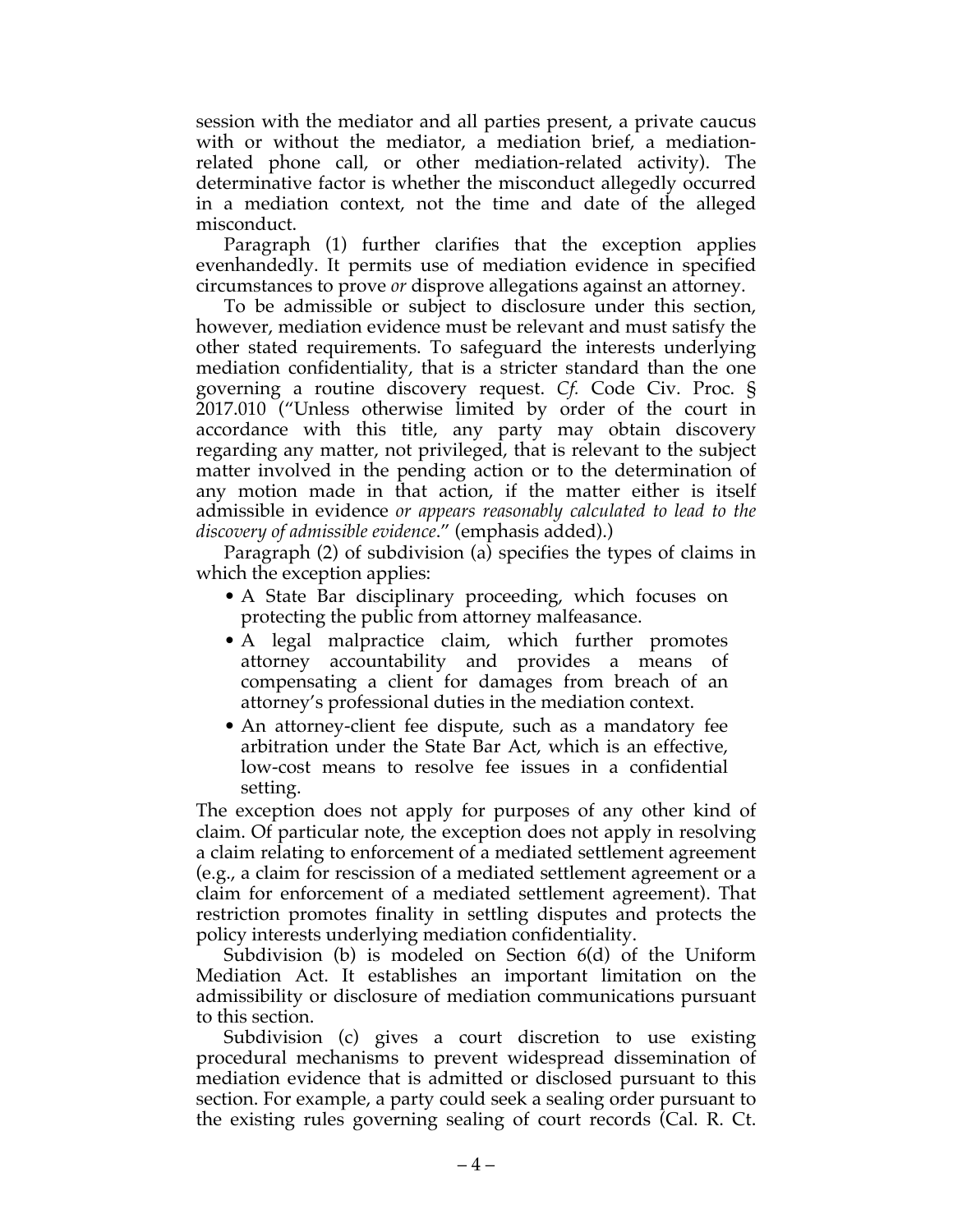session with the mediator and all parties present, a private caucus with or without the mediator, a mediation brief, a mediationrelated phone call, or other mediation-related activity). The determinative factor is whether the misconduct allegedly occurred in a mediation context, not the time and date of the alleged misconduct.

Paragraph (1) further clarifies that the exception applies evenhandedly. It permits use of mediation evidence in specified circumstances to prove *or* disprove allegations against an attorney.

To be admissible or subject to disclosure under this section, however, mediation evidence must be relevant and must satisfy the other stated requirements. To safeguard the interests underlying mediation confidentiality, that is a stricter standard than the one governing a routine discovery request. *Cf.* Code Civ. Proc. § 2017.010 ("Unless otherwise limited by order of the court in accordance with this title, any party may obtain discovery regarding any matter, not privileged, that is relevant to the subject matter involved in the pending action or to the determination of any motion made in that action, if the matter either is itself admissible in evidence *or appears reasonably calculated to lead to the discovery of admissible evidence*." (emphasis added).)

Paragraph (2) of subdivision (a) specifies the types of claims in which the exception applies:

- A State Bar disciplinary proceeding, which focuses on protecting the public from attorney malfeasance.
- A legal malpractice claim, which further promotes attorney accountability and provides a means of compensating a client for damages from breach of an attorney's professional duties in the mediation context.
- An attorney-client fee dispute, such as a mandatory fee arbitration under the State Bar Act, which is an effective, low-cost means to resolve fee issues in a confidential setting.

The exception does not apply for purposes of any other kind of claim. Of particular note, the exception does not apply in resolving a claim relating to enforcement of a mediated settlement agreement (e.g., a claim for rescission of a mediated settlement agreement or a claim for enforcement of a mediated settlement agreement). That restriction promotes finality in settling disputes and protects the policy interests underlying mediation confidentiality.

Subdivision (b) is modeled on Section 6(d) of the Uniform Mediation Act. It establishes an important limitation on the admissibility or disclosure of mediation communications pursuant to this section.

Subdivision (c) gives a court discretion to use existing procedural mechanisms to prevent widespread dissemination of mediation evidence that is admitted or disclosed pursuant to this section. For example, a party could seek a sealing order pursuant to the existing rules governing sealing of court records (Cal. R. Ct.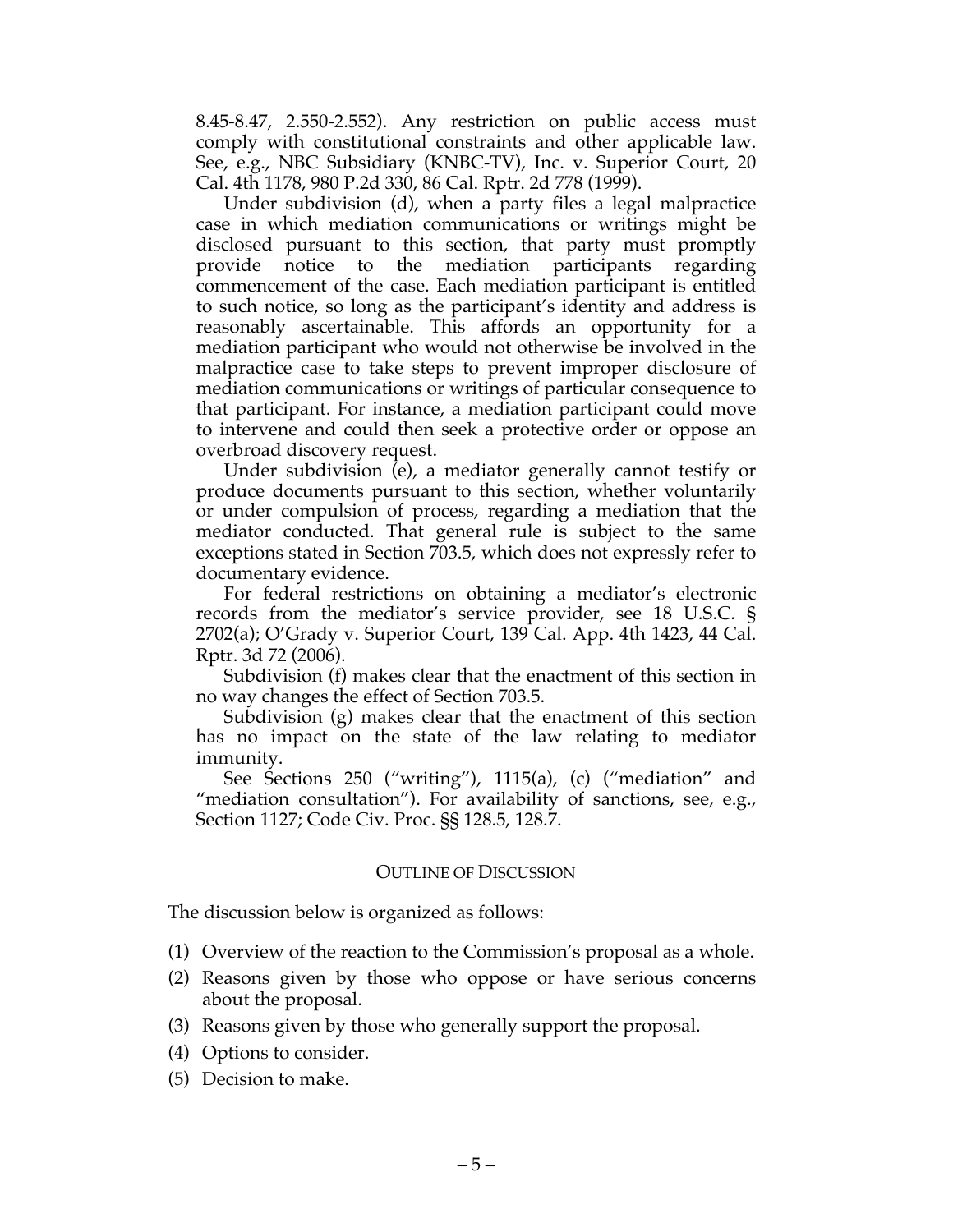8.45-8.47, 2.550-2.552). Any restriction on public access must comply with constitutional constraints and other applicable law. See, e.g., NBC Subsidiary (KNBC-TV), Inc. v. Superior Court, 20 Cal. 4th 1178, 980 P.2d 330, 86 Cal. Rptr. 2d 778 (1999).

Under subdivision (d), when a party files a legal malpractice case in which mediation communications or writings might be disclosed pursuant to this section, that party must promptly provide notice to the mediation participants regarding commencement of the case. Each mediation participant is entitled to such notice, so long as the participant's identity and address is reasonably ascertainable. This affords an opportunity for a mediation participant who would not otherwise be involved in the malpractice case to take steps to prevent improper disclosure of mediation communications or writings of particular consequence to that participant. For instance, a mediation participant could move to intervene and could then seek a protective order or oppose an overbroad discovery request.

Under subdivision (e), a mediator generally cannot testify or produce documents pursuant to this section, whether voluntarily or under compulsion of process, regarding a mediation that the mediator conducted. That general rule is subject to the same exceptions stated in Section 703.5, which does not expressly refer to documentary evidence.

For federal restrictions on obtaining a mediator's electronic records from the mediator's service provider, see 18 U.S.C. § 2702(a); O'Grady v. Superior Court, 139 Cal. App. 4th 1423, 44 Cal. Rptr. 3d 72 (2006).

Subdivision (f) makes clear that the enactment of this section in no way changes the effect of Section 703.5.

Subdivision (g) makes clear that the enactment of this section has no impact on the state of the law relating to mediator immunity.

See Sections 250 ("writing"), 1115(a), (c) ("mediation" and "mediation consultation"). For availability of sanctions, see, e.g., Section 1127; Code Civ. Proc. §§ 128.5, 128.7.

#### OUTLINE OF DISCUSSION

The discussion below is organized as follows:

- (1) Overview of the reaction to the Commission's proposal as a whole.
- (2) Reasons given by those who oppose or have serious concerns about the proposal.
- (3) Reasons given by those who generally support the proposal.
- (4) Options to consider.
- (5) Decision to make.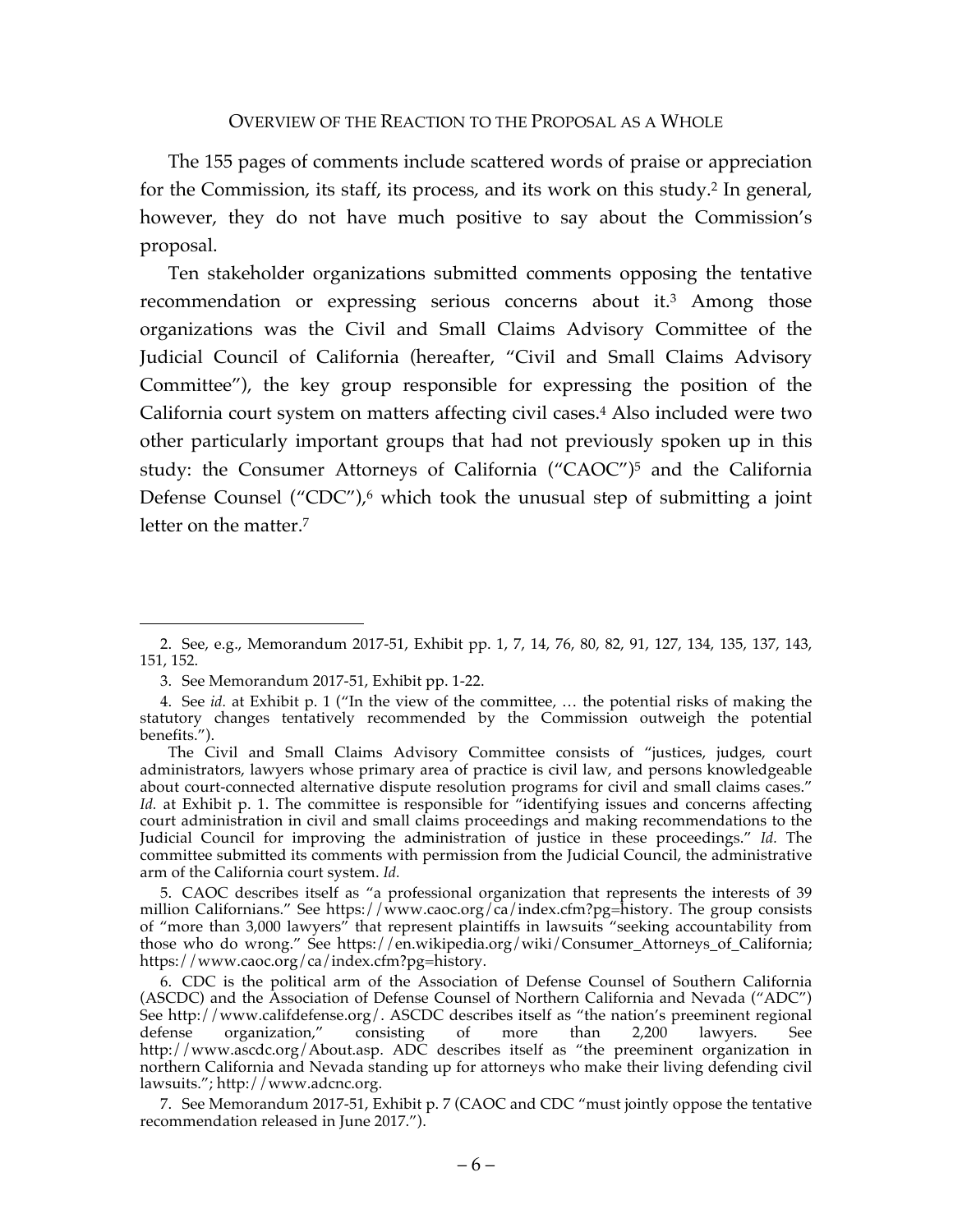The 155 pages of comments include scattered words of praise or appreciation for the Commission, its staff, its process, and its work on this study.2 In general, however, they do not have much positive to say about the Commission's proposal.

Ten stakeholder organizations submitted comments opposing the tentative recommendation or expressing serious concerns about it. <sup>3</sup> Among those organizations was the Civil and Small Claims Advisory Committee of the Judicial Council of California (hereafter, "Civil and Small Claims Advisory Committee"), the key group responsible for expressing the position of the California court system on matters affecting civil cases.4 Also included were two other particularly important groups that had not previously spoken up in this study: the Consumer Attorneys of California ("CAOC")5 and the California Defense Counsel ("CDC"), $\epsilon$  which took the unusual step of submitting a joint letter on the matter.7

<sup>2.</sup> See, e.g., Memorandum 2017-51, Exhibit pp. 1, 7, 14, 76, 80, 82, 91, 127, 134, 135, 137, 143, 151, 152.

<sup>3.</sup> See Memorandum 2017-51, Exhibit pp. 1-22.

<sup>4.</sup> See *id.* at Exhibit p. 1 ("In the view of the committee, … the potential risks of making the statutory changes tentatively recommended by the Commission outweigh the potential benefits.").

The Civil and Small Claims Advisory Committee consists of "justices, judges, court administrators, lawyers whose primary area of practice is civil law, and persons knowledgeable about court-connected alternative dispute resolution programs for civil and small claims cases." *Id.* at Exhibit p. 1. The committee is responsible for "identifying issues and concerns affecting court administration in civil and small claims proceedings and making recommendations to the Judicial Council for improving the administration of justice in these proceedings." *Id.* The committee submitted its comments with permission from the Judicial Council, the administrative arm of the California court system. *Id.*

<sup>5.</sup> CAOC describes itself as "a professional organization that represents the interests of 39 million Californians." See https://www.caoc.org/ca/index.cfm?pg=history. The group consists of "more than 3,000 lawyers" that represent plaintiffs in lawsuits "seeking accountability from those who do wrong." See https://en.wikipedia.org/wiki/Consumer\_Attorneys\_of\_California; https://www.caoc.org/ca/index.cfm?pg=history.

<sup>6.</sup> CDC is the political arm of the Association of Defense Counsel of Southern California (ASCDC) and the Association of Defense Counsel of Northern California and Nevada ("ADC") See http://www.califdefense.org/. ASCDC describes itself as "the nation's preeminent regional defense organization," consisting of more than 2,200 lawyers. See http://www.ascdc.org/About.asp. ADC describes itself as "the preeminent organization in northern California and Nevada standing up for attorneys who make their living defending civil lawsuits."; http://www.adcnc.org.

<sup>7.</sup> See Memorandum 2017-51, Exhibit p. 7 (CAOC and CDC "must jointly oppose the tentative recommendation released in June 2017.").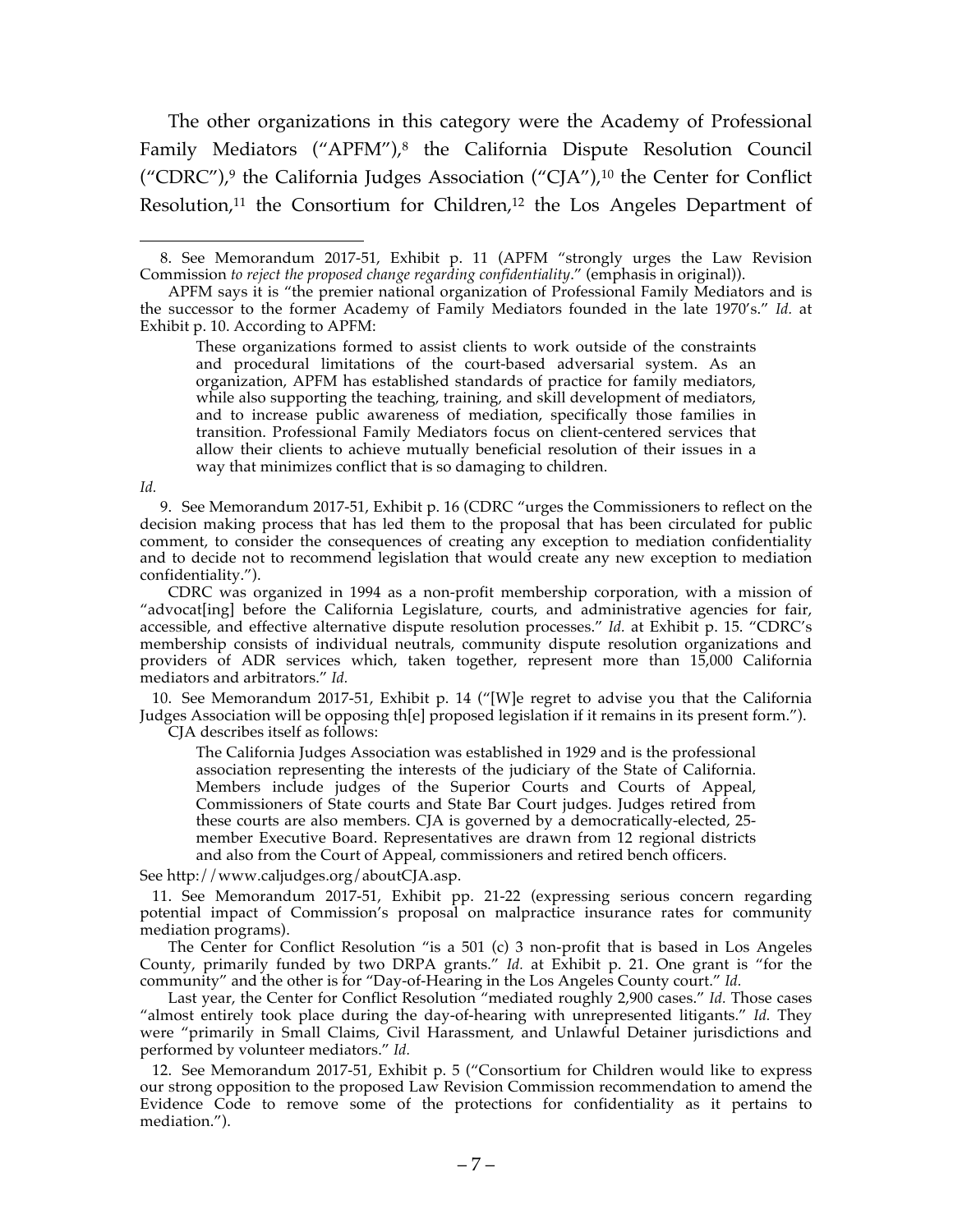The other organizations in this category were the Academy of Professional Family Mediators ("APFM"), <sup>8</sup> the California Dispute Resolution Council ("CDRC"),<sup>9</sup> the California Judges Association ("CJA"),<sup>10</sup> the Center for Conflict Resolution, $11$  the Consortium for Children, $12$  the Los Angeles Department of

*Id.*

9. See Memorandum 2017-51, Exhibit p. 16 (CDRC "urges the Commissioners to reflect on the decision making process that has led them to the proposal that has been circulated for public comment, to consider the consequences of creating any exception to mediation confidentiality and to decide not to recommend legislation that would create any new exception to mediation confidentiality.").

CDRC was organized in 1994 as a non-profit membership corporation, with a mission of "advocat[ing] before the California Legislature, courts, and administrative agencies for fair, accessible, and effective alternative dispute resolution processes." *Id.* at Exhibit p. 15. "CDRC's membership consists of individual neutrals, community dispute resolution organizations and providers of ADR services which, taken together, represent more than 15,000 California mediators and arbitrators." *Id.*

10. See Memorandum 2017-51, Exhibit p. 14 ("[W]e regret to advise you that the California Judges Association will be opposing th[e] proposed legislation if it remains in its present form."). CJA describes itself as follows:

The California Judges Association was established in 1929 and is the professional association representing the interests of the judiciary of the State of California. Members include judges of the Superior Courts and Courts of Appeal, Commissioners of State courts and State Bar Court judges. Judges retired from these courts are also members. CJA is governed by a democratically-elected, 25 member Executive Board. Representatives are drawn from 12 regional districts and also from the Court of Appeal, commissioners and retired bench officers.

See http://www.caljudges.org/aboutCJA.asp.

11. See Memorandum 2017-51, Exhibit pp. 21-22 (expressing serious concern regarding potential impact of Commission's proposal on malpractice insurance rates for community mediation programs).

The Center for Conflict Resolution "is a 501 (c) 3 non-profit that is based in Los Angeles County, primarily funded by two DRPA grants." *Id.* at Exhibit p. 21. One grant is "for the community" and the other is for "Day-of-Hearing in the Los Angeles County court." *Id.*

Last year, the Center for Conflict Resolution "mediated roughly 2,900 cases." *Id.* Those cases "almost entirely took place during the day-of-hearing with unrepresented litigants." *Id.* They were "primarily in Small Claims, Civil Harassment, and Unlawful Detainer jurisdictions and performed by volunteer mediators." *Id.*

12. See Memorandum 2017-51, Exhibit p. 5 ("Consortium for Children would like to express our strong opposition to the proposed Law Revision Commission recommendation to amend the Evidence Code to remove some of the protections for confidentiality as it pertains to mediation.").

 <sup>8.</sup> See Memorandum 2017-51, Exhibit p. 11 (APFM "strongly urges the Law Revision Commission *to reject the proposed change regarding confidentiality*." (emphasis in original)).

APFM says it is "the premier national organization of Professional Family Mediators and is the successor to the former Academy of Family Mediators founded in the late 1970's." *Id.* at Exhibit p. 10. According to APFM:

These organizations formed to assist clients to work outside of the constraints and procedural limitations of the court-based adversarial system. As an organization, APFM has established standards of practice for family mediators, while also supporting the teaching, training, and skill development of mediators, and to increase public awareness of mediation, specifically those families in transition. Professional Family Mediators focus on client-centered services that allow their clients to achieve mutually beneficial resolution of their issues in a way that minimizes conflict that is so damaging to children.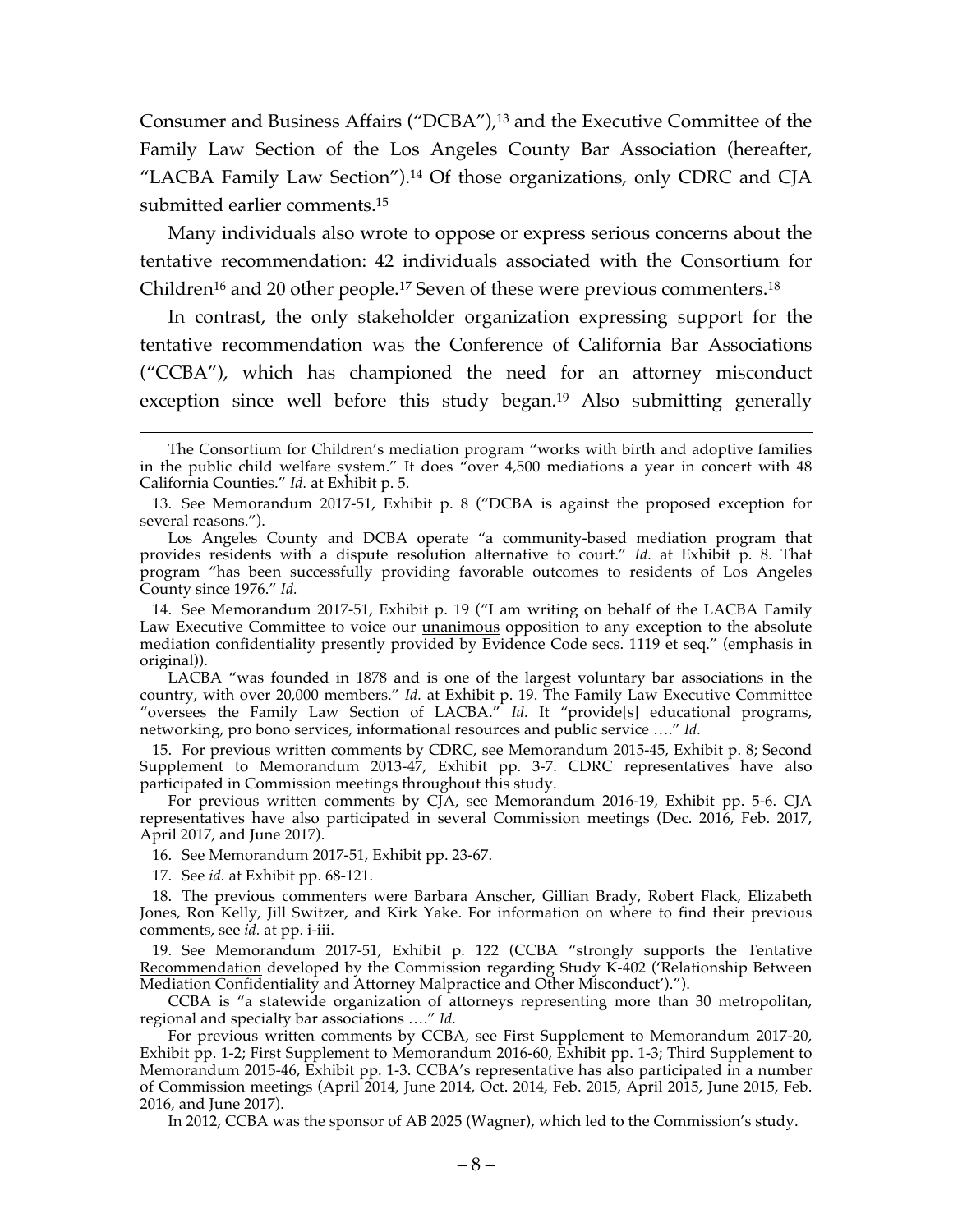Consumer and Business Affairs ("DCBA"), <sup>13</sup> and the Executive Committee of the Family Law Section of the Los Angeles County Bar Association (hereafter, "LACBA Family Law Section").14 Of those organizations, only CDRC and CJA submitted earlier comments.15

Many individuals also wrote to oppose or express serious concerns about the tentative recommendation: 42 individuals associated with the Consortium for Children<sup>16</sup> and 20 other people.<sup>17</sup> Seven of these were previous commenters.<sup>18</sup>

In contrast, the only stakeholder organization expressing support for the tentative recommendation was the Conference of California Bar Associations ("CCBA"), which has championed the need for an attorney misconduct exception since well before this study began.19 Also submitting generally

15. For previous written comments by CDRC, see Memorandum 2015-45, Exhibit p. 8; Second Supplement to Memorandum 2013-47, Exhibit pp. 3-7. CDRC representatives have also participated in Commission meetings throughout this study.

For previous written comments by CJA, see Memorandum 2016-19, Exhibit pp. 5-6. CJA representatives have also participated in several Commission meetings (Dec. 2016, Feb. 2017, April 2017, and June 2017).

16. See Memorandum 2017-51, Exhibit pp. 23-67.

17. See *id.* at Exhibit pp. 68-121.

19. See Memorandum 2017-51, Exhibit p. 122 (CCBA "strongly supports the Tentative Recommendation developed by the Commission regarding Study K-402 ('Relationship Between Mediation Confidentiality and Attorney Malpractice and Other Misconduct').").

CCBA is "a statewide organization of attorneys representing more than 30 metropolitan, regional and specialty bar associations …." *Id.*

For previous written comments by CCBA, see First Supplement to Memorandum 2017-20, Exhibit pp. 1-2; First Supplement to Memorandum 2016-60, Exhibit pp. 1-3; Third Supplement to Memorandum 2015-46, Exhibit pp. 1-3. CCBA's representative has also participated in a number of Commission meetings (April 2014, June 2014, Oct. 2014, Feb. 2015, April 2015, June 2015, Feb. 2016, and June 2017).

In 2012, CCBA was the sponsor of AB 2025 (Wagner), which led to the Commission's study.

The Consortium for Children's mediation program "works with birth and adoptive families in the public child welfare system." It does "over 4,500 mediations a year in concert with 48 California Counties." *Id.* at Exhibit p. 5.

<sup>13.</sup> See Memorandum 2017-51, Exhibit p. 8 ("DCBA is against the proposed exception for several reasons.").

Los Angeles County and DCBA operate "a community-based mediation program that provides residents with a dispute resolution alternative to court." *Id.* at Exhibit p. 8. That program "has been successfully providing favorable outcomes to residents of Los Angeles County since 1976." *Id.*

<sup>14.</sup> See Memorandum 2017-51, Exhibit p. 19 ("I am writing on behalf of the LACBA Family Law Executive Committee to voice our unanimous opposition to any exception to the absolute mediation confidentiality presently provided by Evidence Code secs. 1119 et seq." (emphasis in original)).

LACBA "was founded in 1878 and is one of the largest voluntary bar associations in the country, with over 20,000 members." *Id.* at Exhibit p. 19. The Family Law Executive Committee "oversees the Family Law Section of LACBA." *Id.* It "provide[s] educational programs, networking, pro bono services, informational resources and public service …." *Id.*

<sup>18.</sup> The previous commenters were Barbara Anscher, Gillian Brady, Robert Flack, Elizabeth Jones, Ron Kelly, Jill Switzer, and Kirk Yake. For information on where to find their previous comments, see *id.* at pp. i-iii.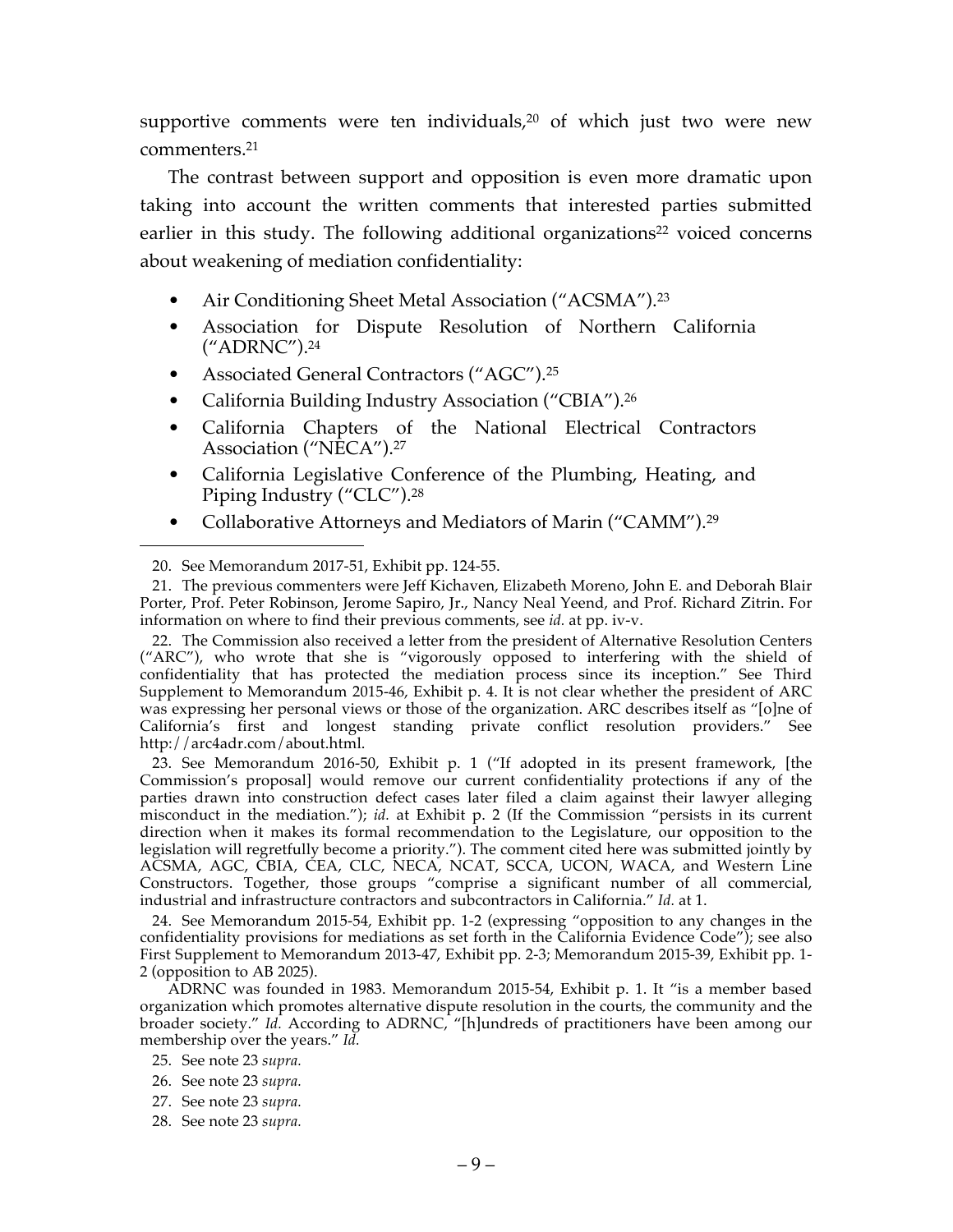supportive comments were ten individuals, $20$  of which just two were new commenters.21

The contrast between support and opposition is even more dramatic upon taking into account the written comments that interested parties submitted earlier in this study. The following additional organizations<sup>22</sup> voiced concerns about weakening of mediation confidentiality:

- Air Conditioning Sheet Metal Association ("ACSMA").23
- Association for Dispute Resolution of Northern California ("ADRNC").24
- Associated General Contractors ("AGC").25
- California Building Industry Association ("CBIA").<sup>26</sup>
- California Chapters of the National Electrical Contractors Association ("NECA").27
- California Legislative Conference of the Plumbing, Heating, and Piping Industry ("CLC").28
- Collaborative Attorneys and Mediators of Marin ("CAMM").<sup>29</sup>

 $\overline{a}$ 

22. The Commission also received a letter from the president of Alternative Resolution Centers ("ARC"), who wrote that she is "vigorously opposed to interfering with the shield of confidentiality that has protected the mediation process since its inception." See Third Supplement to Memorandum 2015-46, Exhibit p. 4. It is not clear whether the president of ARC was expressing her personal views or those of the organization. ARC describes itself as "[o]ne of California's first and longest standing private conflict resolution providers." See http://arc4adr.com/about.html.

23. See Memorandum 2016-50, Exhibit p. 1 ("If adopted in its present framework, [the Commission's proposal] would remove our current confidentiality protections if any of the parties drawn into construction defect cases later filed a claim against their lawyer alleging misconduct in the mediation."); *id.* at Exhibit p. 2 (If the Commission "persists in its current direction when it makes its formal recommendation to the Legislature, our opposition to the legislation will regretfully become a priority."). The comment cited here was submitted jointly by ACSMA, AGC, CBIA, CEA, CLC, NECA, NCAT, SCCA, UCON, WACA, and Western Line Constructors. Together, those groups "comprise a significant number of all commercial, industrial and infrastructure contractors and subcontractors in California." *Id.* at 1.

24. See Memorandum 2015-54, Exhibit pp. 1-2 (expressing "opposition to any changes in the confidentiality provisions for mediations as set forth in the California Evidence Code"); see also First Supplement to Memorandum 2013-47, Exhibit pp. 2-3; Memorandum 2015-39, Exhibit pp. 1- 2 (opposition to AB 2025).

ADRNC was founded in 1983. Memorandum 2015-54, Exhibit p. 1. It "is a member based organization which promotes alternative dispute resolution in the courts, the community and the broader society." *Id.* According to ADRNC, "[h]undreds of practitioners have been among our membership over the years." *Id.*

- 26. See note 23 *supra.*
- 27. See note 23 *supra.*
- 28. See note 23 *supra.*

<sup>20.</sup> See Memorandum 2017-51, Exhibit pp. 124-55.

<sup>21.</sup> The previous commenters were Jeff Kichaven, Elizabeth Moreno, John E. and Deborah Blair Porter, Prof. Peter Robinson, Jerome Sapiro, Jr., Nancy Neal Yeend, and Prof. Richard Zitrin. For information on where to find their previous comments, see *id.* at pp. iv-v.

<sup>25.</sup> See note 23 *supra.*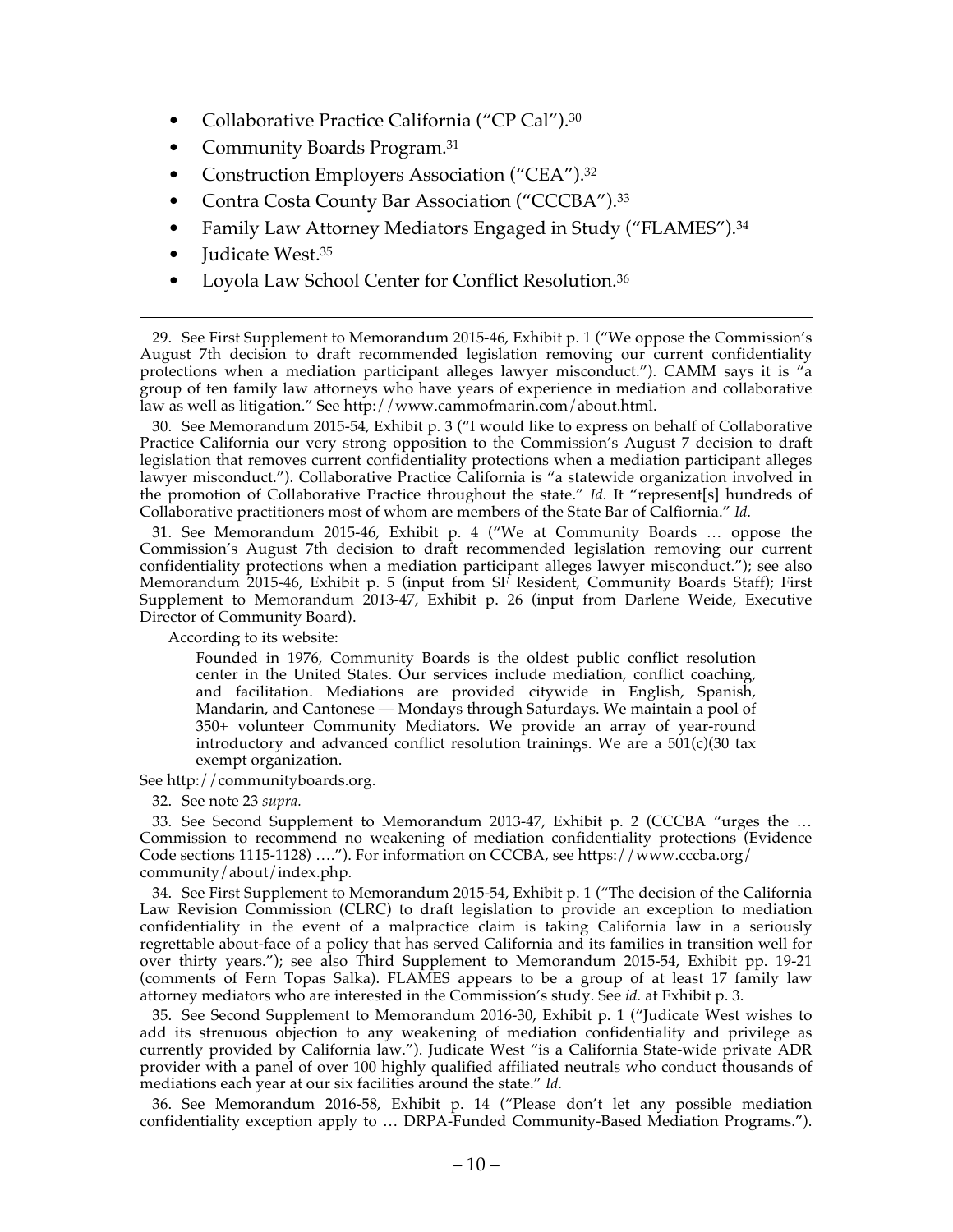- Collaborative Practice California ("CP Cal").<sup>30</sup>
- Community Boards Program.31
- Construction Employers Association ("CEA").<sup>32</sup>
- Contra Costa County Bar Association ("CCCBA").<sup>33</sup>
- Family Law Attorney Mediators Engaged in Study ("FLAMES").<sup>34</sup>
- Judicate West.<sup>35</sup>

 $\overline{a}$ 

• Loyola Law School Center for Conflict Resolution.<sup>36</sup>

29. See First Supplement to Memorandum 2015-46, Exhibit p. 1 ("We oppose the Commission's August 7th decision to draft recommended legislation removing our current confidentiality protections when a mediation participant alleges lawyer misconduct."). CAMM says it is "a group of ten family law attorneys who have years of experience in mediation and collaborative law as well as litigation." See http://www.cammofmarin.com/about.html.

30. See Memorandum 2015-54, Exhibit p. 3 ("I would like to express on behalf of Collaborative Practice California our very strong opposition to the Commission's August 7 decision to draft legislation that removes current confidentiality protections when a mediation participant alleges lawyer misconduct."). Collaborative Practice California is "a statewide organization involved in the promotion of Collaborative Practice throughout the state." *Id.* It "represent[s] hundreds of Collaborative practitioners most of whom are members of the State Bar of Calfiornia." *Id.*

31. See Memorandum 2015-46, Exhibit p. 4 ("We at Community Boards … oppose the Commission's August 7th decision to draft recommended legislation removing our current confidentiality protections when a mediation participant alleges lawyer misconduct."); see also Memorandum 2015-46, Exhibit p. 5 (input from SF Resident, Community Boards Staff); First Supplement to Memorandum 2013-47, Exhibit p. 26 (input from Darlene Weide, Executive Director of Community Board).

According to its website:

Founded in 1976, Community Boards is the oldest public conflict resolution center in the United States. Our services include mediation, conflict coaching, and facilitation. Mediations are provided citywide in English, Spanish, Mandarin, and Cantonese — Mondays through Saturdays. We maintain a pool of 350+ volunteer Community Mediators. We provide an array of year-round introductory and advanced conflict resolution trainings. We are a 501(c)(30 tax exempt organization.

See http://communityboards.org.

32. See note 23 *supra.*

33. See Second Supplement to Memorandum 2013-47, Exhibit p. 2 (CCCBA "urges the … Commission to recommend no weakening of mediation confidentiality protections (Evidence Code sections 1115-1128) …."). For information on CCCBA, see https://www.cccba.org/ community/about/index.php.

34. See First Supplement to Memorandum 2015-54, Exhibit p. 1 ("The decision of the California Law Revision Commission (CLRC) to draft legislation to provide an exception to mediation confidentiality in the event of a malpractice claim is taking California law in a seriously regrettable about-face of a policy that has served California and its families in transition well for over thirty years."); see also Third Supplement to Memorandum 2015-54, Exhibit pp. 19-21 (comments of Fern Topas Salka). FLAMES appears to be a group of at least 17 family law attorney mediators who are interested in the Commission's study. See *id.* at Exhibit p. 3.

35. See Second Supplement to Memorandum 2016-30, Exhibit p. 1 ("Judicate West wishes to add its strenuous objection to any weakening of mediation confidentiality and privilege as currently provided by California law."). Judicate West "is a California State-wide private ADR provider with a panel of over 100 highly qualified affiliated neutrals who conduct thousands of mediations each year at our six facilities around the state." *Id.*

36. See Memorandum 2016-58, Exhibit p. 14 ("Please don't let any possible mediation confidentiality exception apply to … DRPA-Funded Community-Based Mediation Programs.").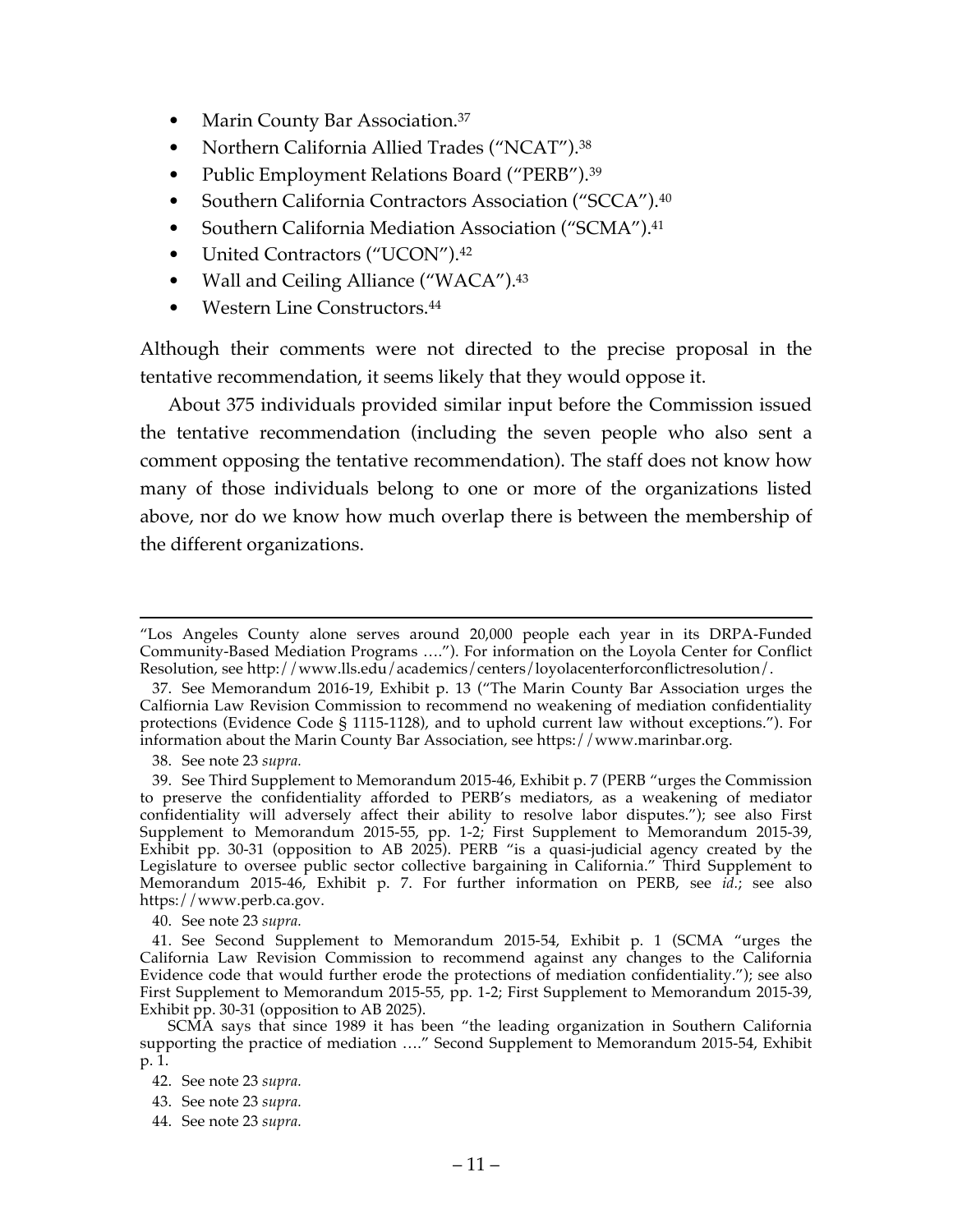- Marin County Bar Association.<sup>37</sup>
- Northern California Allied Trades ("NCAT").38
- Public Employment Relations Board ("PERB").<sup>39</sup>
- Southern California Contractors Association ("SCCA").40
- Southern California Mediation Association ("SCMA").<sup>41</sup>
- United Contractors ("UCON").<sup>42</sup>
- Wall and Ceiling Alliance ("WACA").<sup>43</sup>
- Western Line Constructors.<sup>44</sup>

Although their comments were not directed to the precise proposal in the tentative recommendation, it seems likely that they would oppose it.

About 375 individuals provided similar input before the Commission issued the tentative recommendation (including the seven people who also sent a comment opposing the tentative recommendation). The staff does not know how many of those individuals belong to one or more of the organizations listed above, nor do we know how much overlap there is between the membership of the different organizations.

 <sup>&</sup>quot;Los Angeles County alone serves around 20,000 people each year in its DRPA-Funded Community-Based Mediation Programs …."). For information on the Loyola Center for Conflict Resolution, see http://www.lls.edu/academics/centers/loyolacenterforconflictresolution/.

<sup>37.</sup> See Memorandum 2016-19, Exhibit p. 13 ("The Marin County Bar Association urges the Calfiornia Law Revision Commission to recommend no weakening of mediation confidentiality protections (Evidence Code § 1115-1128), and to uphold current law without exceptions."). For information about the Marin County Bar Association, see https://www.marinbar.org.

<sup>38.</sup> See note 23 *supra.*

<sup>39.</sup> See Third Supplement to Memorandum 2015-46, Exhibit p. 7 (PERB "urges the Commission to preserve the confidentiality afforded to PERB's mediators, as a weakening of mediator confidentiality will adversely affect their ability to resolve labor disputes."); see also First Supplement to Memorandum 2015-55, pp. 1-2; First Supplement to Memorandum 2015-39, Exhibit pp. 30-31 (opposition to AB 2025). PERB "is a quasi-judicial agency created by the Legislature to oversee public sector collective bargaining in California." Third Supplement to Memorandum 2015-46, Exhibit p. 7. For further information on PERB, see *id.*; see also https://www.perb.ca.gov.

<sup>40.</sup> See note 23 *supra.*

<sup>41.</sup> See Second Supplement to Memorandum 2015-54, Exhibit p. 1 (SCMA "urges the California Law Revision Commission to recommend against any changes to the California Evidence code that would further erode the protections of mediation confidentiality."); see also First Supplement to Memorandum 2015-55, pp. 1-2; First Supplement to Memorandum 2015-39, Exhibit pp. 30-31 (opposition to AB 2025).

SCMA says that since 1989 it has been "the leading organization in Southern California supporting the practice of mediation …." Second Supplement to Memorandum 2015-54, Exhibit p. 1.

<sup>42.</sup> See note 23 *supra.*

<sup>43.</sup> See note 23 *supra.*

<sup>44.</sup> See note 23 *supra.*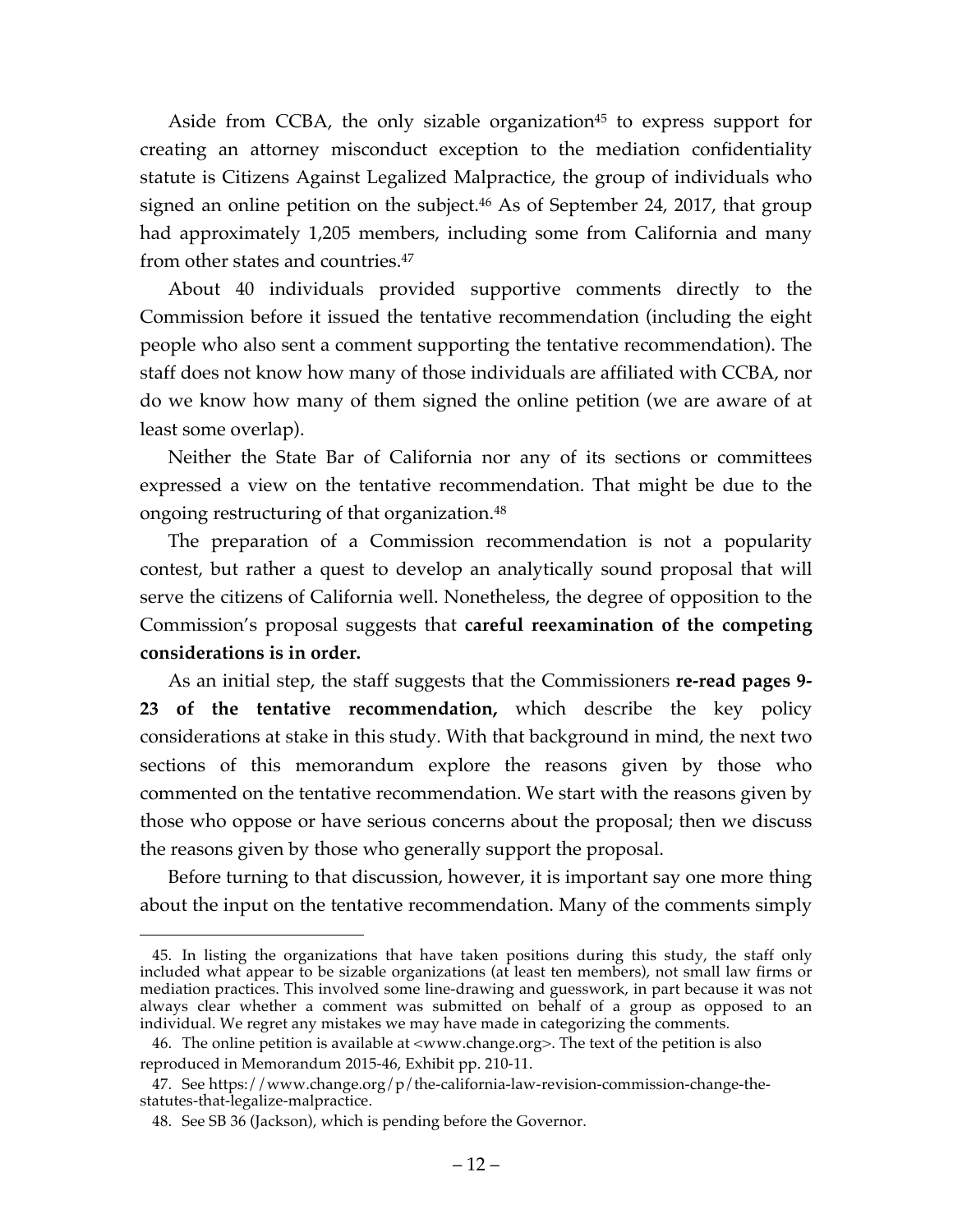Aside from CCBA, the only sizable organization<sup>45</sup> to express support for creating an attorney misconduct exception to the mediation confidentiality statute is Citizens Against Legalized Malpractice, the group of individuals who signed an online petition on the subject. <sup>46</sup> As of September 24, 2017, that group had approximately 1,205 members, including some from California and many from other states and countries.47

About 40 individuals provided supportive comments directly to the Commission before it issued the tentative recommendation (including the eight people who also sent a comment supporting the tentative recommendation). The staff does not know how many of those individuals are affiliated with CCBA, nor do we know how many of them signed the online petition (we are aware of at least some overlap).

Neither the State Bar of California nor any of its sections or committees expressed a view on the tentative recommendation. That might be due to the ongoing restructuring of that organization.48

The preparation of a Commission recommendation is not a popularity contest, but rather a quest to develop an analytically sound proposal that will serve the citizens of California well. Nonetheless, the degree of opposition to the Commission's proposal suggests that **careful reexamination of the competing considerations is in order.**

As an initial step, the staff suggests that the Commissioners **re-read pages 9- 23 of the tentative recommendation,** which describe the key policy considerations at stake in this study. With that background in mind, the next two sections of this memorandum explore the reasons given by those who commented on the tentative recommendation. We start with the reasons given by those who oppose or have serious concerns about the proposal; then we discuss the reasons given by those who generally support the proposal.

Before turning to that discussion, however, it is important say one more thing about the input on the tentative recommendation. Many of the comments simply

<sup>45.</sup> In listing the organizations that have taken positions during this study, the staff only included what appear to be sizable organizations (at least ten members), not small law firms or mediation practices. This involved some line-drawing and guesswork, in part because it was not always clear whether a comment was submitted on behalf of a group as opposed to an individual. We regret any mistakes we may have made in categorizing the comments.

<sup>46.</sup> The online petition is available at <www.change.org>. The text of the petition is also reproduced in Memorandum 2015-46, Exhibit pp. 210-11.

<sup>47.</sup> See https://www.change.org/p/the-california-law-revision-commission-change-thestatutes-that-legalize-malpractice.

<sup>48.</sup> See SB 36 (Jackson), which is pending before the Governor.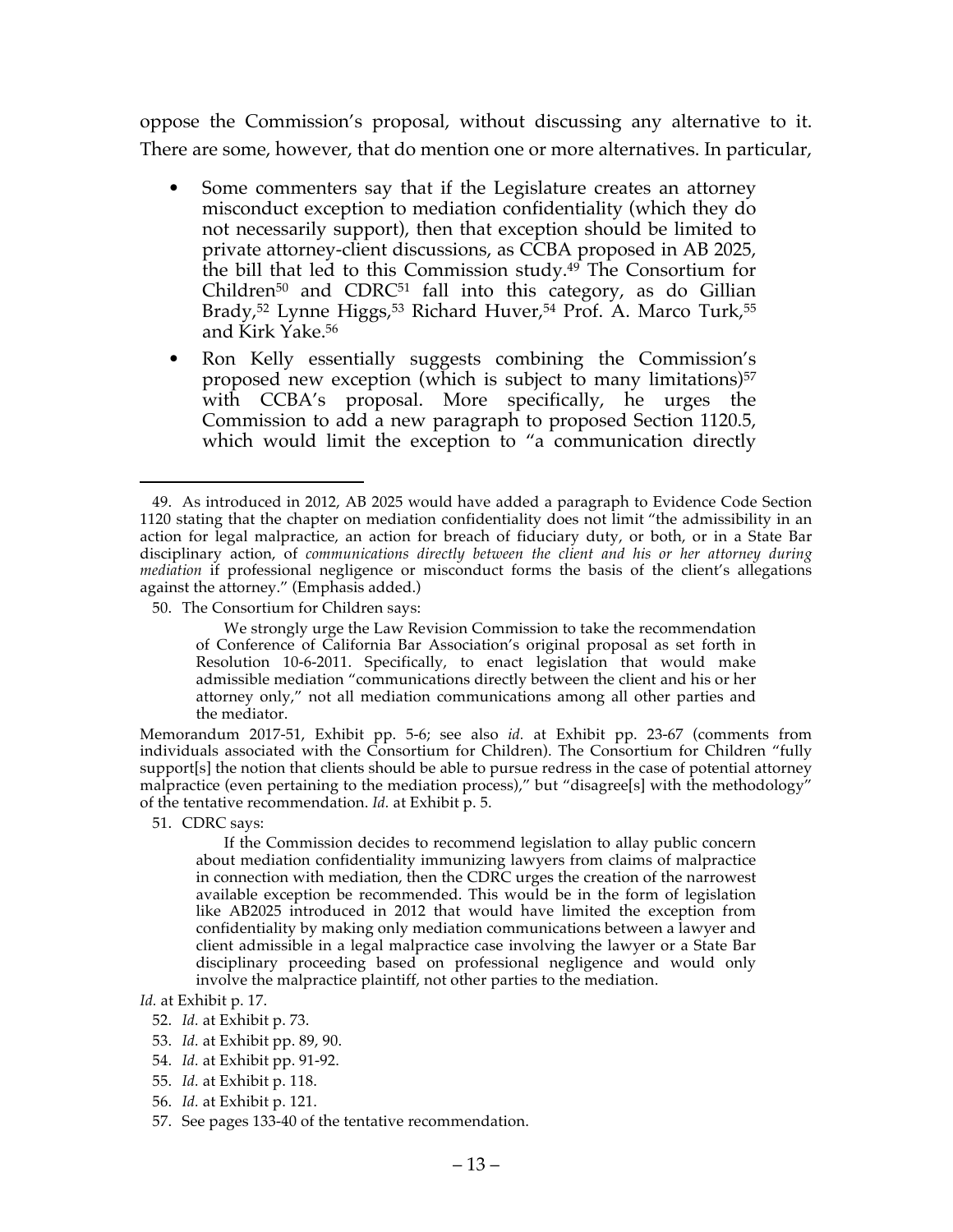oppose the Commission's proposal, without discussing any alternative to it. There are some, however, that do mention one or more alternatives. In particular,

- Some commenters say that if the Legislature creates an attorney misconduct exception to mediation confidentiality (which they do not necessarily support), then that exception should be limited to private attorney-client discussions, as CCBA proposed in AB 2025, the bill that led to this Commission study.49 The Consortium for Children<sup>50</sup> and CDRC<sup>51</sup> fall into this category, as do Gillian Brady,<sup>52</sup> Lynne Higgs,<sup>53</sup> Richard Huver,<sup>54</sup> Prof. A. Marco Turk,<sup>55</sup> and Kirk Yake.56
- Ron Kelly essentially suggests combining the Commission's proposed new exception (which is subject to many limitations)<sup>57</sup> with CCBA's proposal. More specifically, he urges the Commission to add a new paragraph to proposed Section 1120.5, which would limit the exception to "a communication directly

Memorandum 2017-51, Exhibit pp. 5-6; see also *id.* at Exhibit pp. 23-67 (comments from individuals associated with the Consortium for Children). The Consortium for Children "fully support[s] the notion that clients should be able to pursue redress in the case of potential attorney malpractice (even pertaining to the mediation process)," but "disagree[s] with the methodology" of the tentative recommendation. *Id.* at Exhibit p. 5.

51. CDRC says:

 $\overline{a}$ 

If the Commission decides to recommend legislation to allay public concern about mediation confidentiality immunizing lawyers from claims of malpractice in connection with mediation, then the CDRC urges the creation of the narrowest available exception be recommended. This would be in the form of legislation like AB2025 introduced in 2012 that would have limited the exception from confidentiality by making only mediation communications between a lawyer and client admissible in a legal malpractice case involving the lawyer or a State Bar disciplinary proceeding based on professional negligence and would only involve the malpractice plaintiff, not other parties to the mediation.

- 53. *Id.* at Exhibit pp. 89, 90.
- 54. *Id.* at Exhibit pp. 91-92.
- 55. *Id.* at Exhibit p. 118.
- 56. *Id.* at Exhibit p. 121.
- 57. See pages 133-40 of the tentative recommendation.

<sup>49.</sup> As introduced in 2012, AB 2025 would have added a paragraph to Evidence Code Section 1120 stating that the chapter on mediation confidentiality does not limit "the admissibility in an action for legal malpractice, an action for breach of fiduciary duty, or both, or in a State Bar disciplinary action, of *communications directly between the client and his or her attorney during mediation* if professional negligence or misconduct forms the basis of the client's allegations against the attorney." (Emphasis added.)

<sup>50.</sup> The Consortium for Children says:

We strongly urge the Law Revision Commission to take the recommendation of Conference of California Bar Association's original proposal as set forth in Resolution 10-6-2011. Specifically, to enact legislation that would make admissible mediation "communications directly between the client and his or her attorney only," not all mediation communications among all other parties and the mediator.

*Id.* at Exhibit p. 17.

<sup>52.</sup> *Id.* at Exhibit p. 73.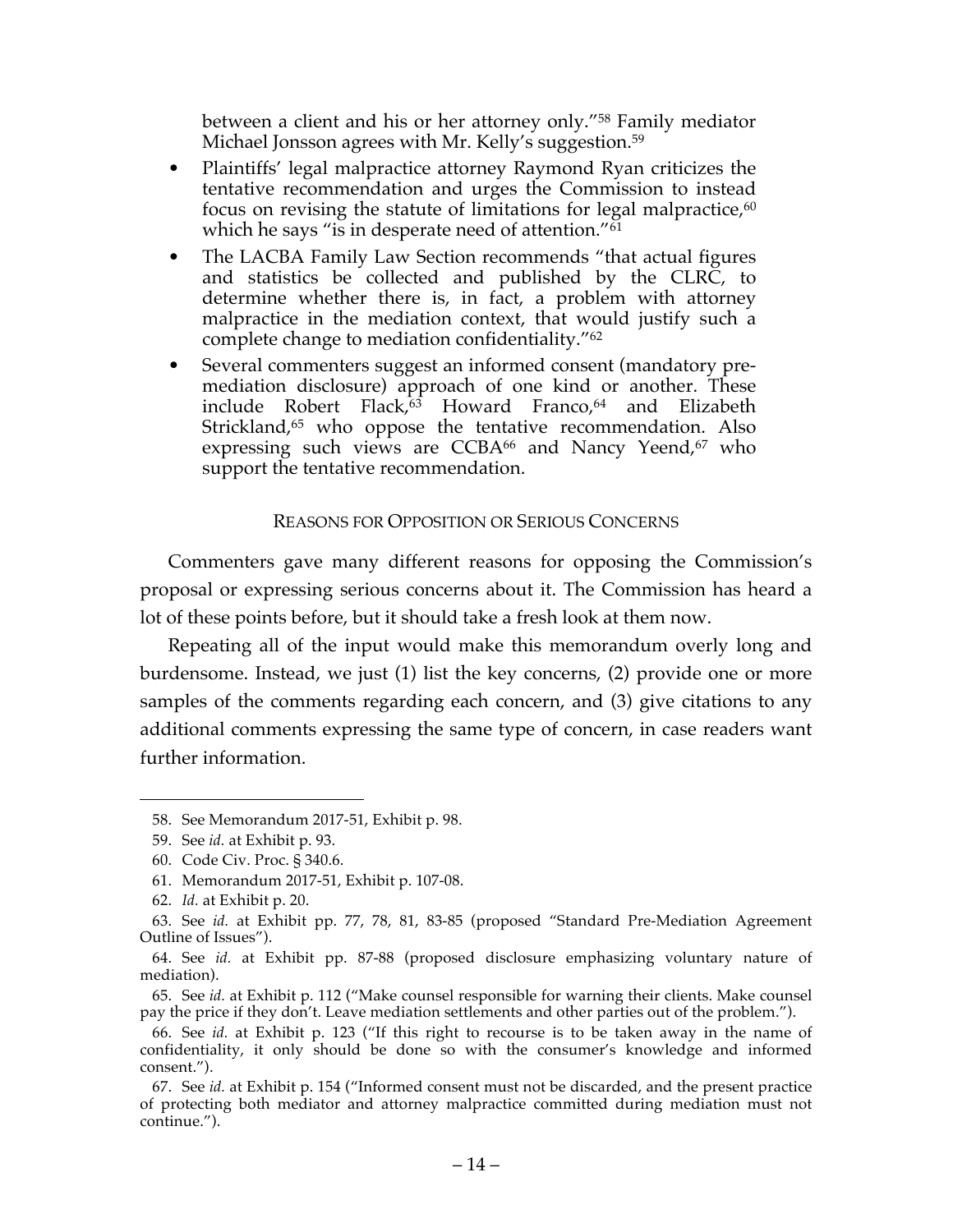between a client and his or her attorney only."58 Family mediator Michael Jonsson agrees with Mr. Kelly's suggestion.<sup>59</sup>

- Plaintiffs' legal malpractice attorney Raymond Ryan criticizes the tentative recommendation and urges the Commission to instead focus on revising the statute of limitations for legal malpractice,<sup>60</sup> which he says "is in desperate need of attention."<sup>61</sup>
- The LACBA Family Law Section recommends "that actual figures" and statistics be collected and published by the CLRC, to determine whether there is, in fact, a problem with attorney malpractice in the mediation context, that would justify such a complete change to mediation confidentiality."62
- Several commenters suggest an informed consent (mandatory premediation disclosure) approach of one kind or another. These include Robert Flack, $63$  Howard Franco, $64$  and Elizabeth Strickland,<sup>65</sup> who oppose the tentative recommendation. Also expressing such views are CCBA<sup>66</sup> and Nancy Yeend,<sup>67</sup> who support the tentative recommendation.

### REASONS FOR OPPOSITION OR SERIOUS CONCERNS

Commenters gave many different reasons for opposing the Commission's proposal or expressing serious concerns about it. The Commission has heard a lot of these points before, but it should take a fresh look at them now.

Repeating all of the input would make this memorandum overly long and burdensome. Instead, we just (1) list the key concerns, (2) provide one or more samples of the comments regarding each concern, and (3) give citations to any additional comments expressing the same type of concern, in case readers want further information.

<sup>58.</sup> See Memorandum 2017-51, Exhibit p. 98.

<sup>59.</sup> See *id.* at Exhibit p. 93.

<sup>60.</sup> Code Civ. Proc. § 340.6.

<sup>61.</sup> Memorandum 2017-51, Exhibit p. 107-08.

<sup>62.</sup> *Id.* at Exhibit p. 20.

<sup>63.</sup> See *id.* at Exhibit pp. 77, 78, 81, 83-85 (proposed "Standard Pre-Mediation Agreement Outline of Issues").

<sup>64.</sup> See *id.* at Exhibit pp. 87-88 (proposed disclosure emphasizing voluntary nature of mediation).

<sup>65.</sup> See *id.* at Exhibit p. 112 ("Make counsel responsible for warning their clients. Make counsel pay the price if they don't. Leave mediation settlements and other parties out of the problem.").

<sup>66.</sup> See *id.* at Exhibit p. 123 ("If this right to recourse is to be taken away in the name of confidentiality, it only should be done so with the consumer's knowledge and informed consent.").

<sup>67.</sup> See *id.* at Exhibit p. 154 ("Informed consent must not be discarded, and the present practice of protecting both mediator and attorney malpractice committed during mediation must not continue.").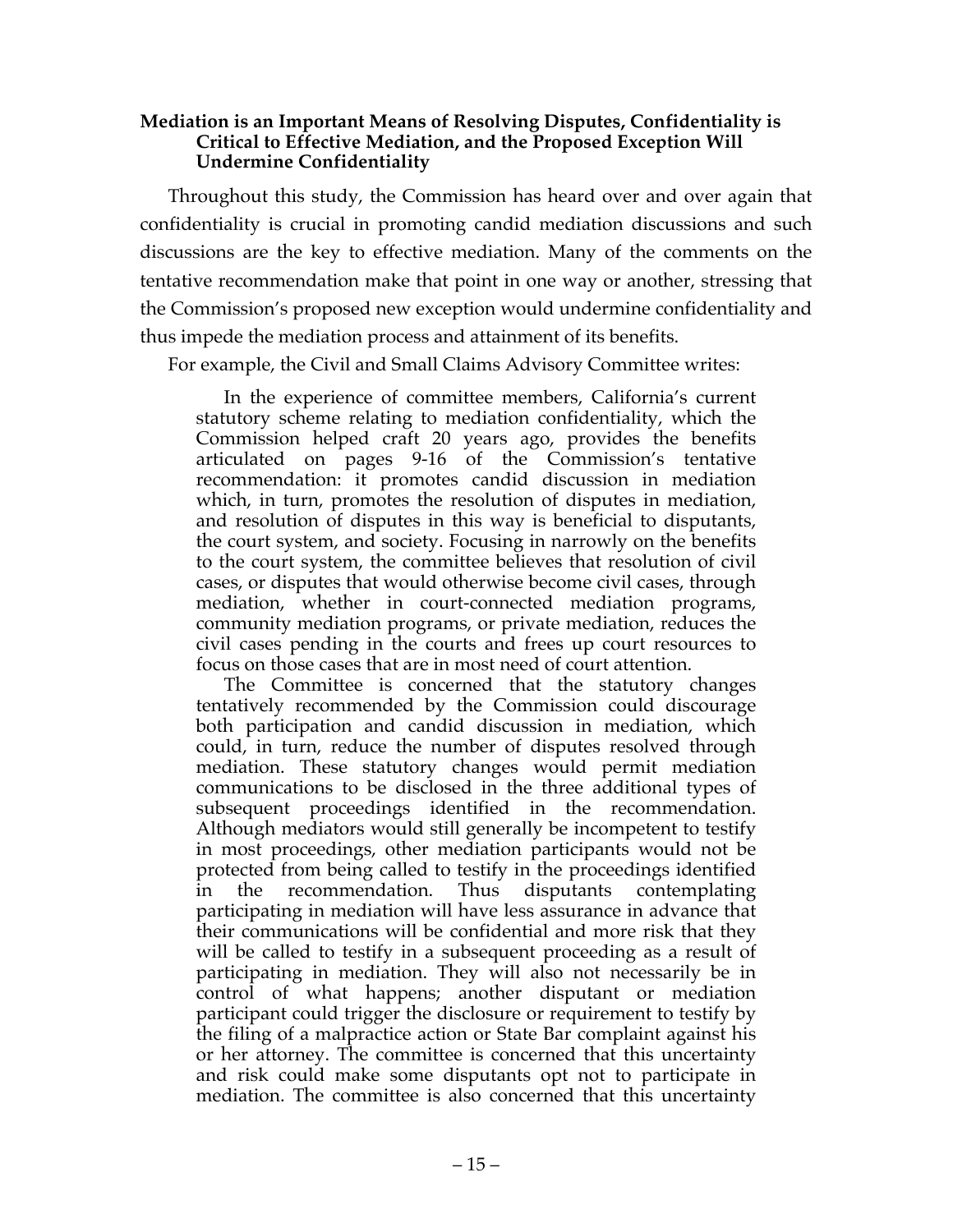### **Mediation is an Important Means of Resolving Disputes, Confidentiality is Critical to Effective Mediation, and the Proposed Exception Will Undermine Confidentiality**

Throughout this study, the Commission has heard over and over again that confidentiality is crucial in promoting candid mediation discussions and such discussions are the key to effective mediation. Many of the comments on the tentative recommendation make that point in one way or another, stressing that the Commission's proposed new exception would undermine confidentiality and thus impede the mediation process and attainment of its benefits.

For example, the Civil and Small Claims Advisory Committee writes:

In the experience of committee members, California's current statutory scheme relating to mediation confidentiality, which the Commission helped craft 20 years ago, provides the benefits articulated on pages 9-16 of the Commission's tentative recommendation: it promotes candid discussion in mediation which, in turn, promotes the resolution of disputes in mediation, and resolution of disputes in this way is beneficial to disputants, the court system, and society. Focusing in narrowly on the benefits to the court system, the committee believes that resolution of civil cases, or disputes that would otherwise become civil cases, through mediation, whether in court-connected mediation programs, community mediation programs, or private mediation, reduces the civil cases pending in the courts and frees up court resources to focus on those cases that are in most need of court attention.

The Committee is concerned that the statutory changes tentatively recommended by the Commission could discourage both participation and candid discussion in mediation, which could, in turn, reduce the number of disputes resolved through mediation. These statutory changes would permit mediation communications to be disclosed in the three additional types of subsequent proceedings identified in the recommendation. Although mediators would still generally be incompetent to testify in most proceedings, other mediation participants would not be protected from being called to testify in the proceedings identified in the recommendation. Thus disputants contemplating participating in mediation will have less assurance in advance that their communications will be confidential and more risk that they will be called to testify in a subsequent proceeding as a result of participating in mediation. They will also not necessarily be in control of what happens; another disputant or mediation participant could trigger the disclosure or requirement to testify by the filing of a malpractice action or State Bar complaint against his or her attorney. The committee is concerned that this uncertainty and risk could make some disputants opt not to participate in mediation. The committee is also concerned that this uncertainty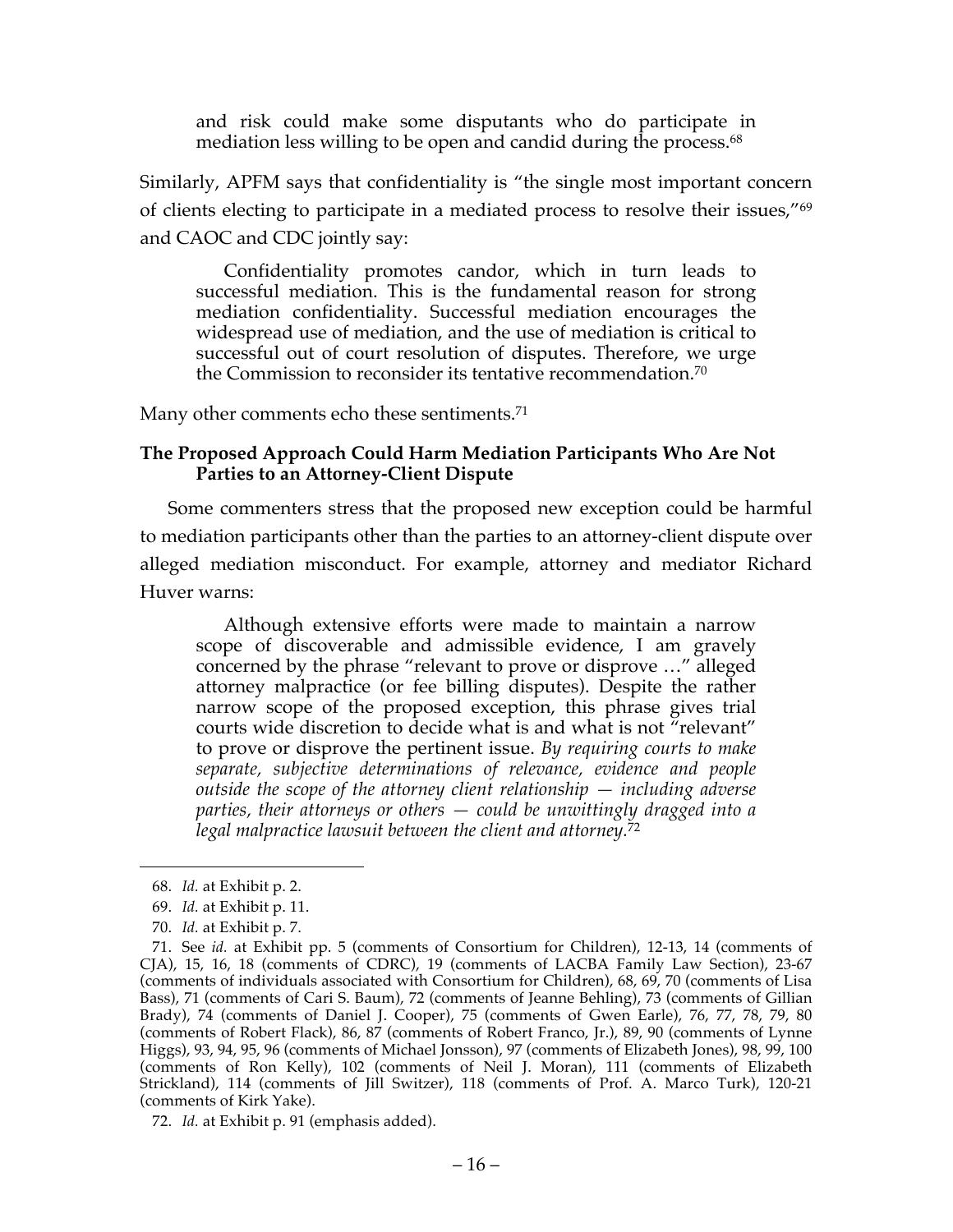and risk could make some disputants who do participate in mediation less willing to be open and candid during the process.<sup>68</sup>

Similarly, APFM says that confidentiality is "the single most important concern of clients electing to participate in a mediated process to resolve their issues,"69 and CAOC and CDC jointly say:

Confidentiality promotes candor, which in turn leads to successful mediation. This is the fundamental reason for strong mediation confidentiality. Successful mediation encourages the widespread use of mediation, and the use of mediation is critical to successful out of court resolution of disputes. Therefore, we urge the Commission to reconsider its tentative recommendation.<sup>70</sup>

Many other comments echo these sentiments.<sup>71</sup>

### **The Proposed Approach Could Harm Mediation Participants Who Are Not Parties to an Attorney-Client Dispute**

Some commenters stress that the proposed new exception could be harmful to mediation participants other than the parties to an attorney-client dispute over alleged mediation misconduct. For example, attorney and mediator Richard Huver warns:

Although extensive efforts were made to maintain a narrow scope of discoverable and admissible evidence, I am gravely concerned by the phrase "relevant to prove or disprove …" alleged attorney malpractice (or fee billing disputes). Despite the rather narrow scope of the proposed exception, this phrase gives trial courts wide discretion to decide what is and what is not "relevant" to prove or disprove the pertinent issue. *By requiring courts to make separate, subjective determinations of relevance, evidence and people outside the scope of the attorney client relationship — including adverse parties, their attorneys or others — could be unwittingly dragged into a legal malpractice lawsuit between the client and attorney.*<sup>72</sup>

<sup>68.</sup> *Id.* at Exhibit p. 2.

<sup>69.</sup> *Id.* at Exhibit p. 11.

<sup>70.</sup> *Id.* at Exhibit p. 7.

<sup>71.</sup> See *id.* at Exhibit pp. 5 (comments of Consortium for Children), 12-13, 14 (comments of CJA), 15, 16, 18 (comments of CDRC), 19 (comments of LACBA Family Law Section), 23-67 (comments of individuals associated with Consortium for Children), 68, 69, 70 (comments of Lisa Bass), 71 (comments of Cari S. Baum), 72 (comments of Jeanne Behling), 73 (comments of Gillian Brady), 74 (comments of Daniel J. Cooper), 75 (comments of Gwen Earle), 76, 77, 78, 79, 80 (comments of Robert Flack), 86, 87 (comments of Robert Franco, Jr.), 89, 90 (comments of Lynne Higgs), 93, 94, 95, 96 (comments of Michael Jonsson), 97 (comments of Elizabeth Jones), 98, 99, 100 (comments of Ron Kelly), 102 (comments of Neil J. Moran), 111 (comments of Elizabeth Strickland), 114 (comments of Jill Switzer), 118 (comments of Prof. A. Marco Turk), 120-21 (comments of Kirk Yake).

<sup>72.</sup> *Id.* at Exhibit p. 91 (emphasis added).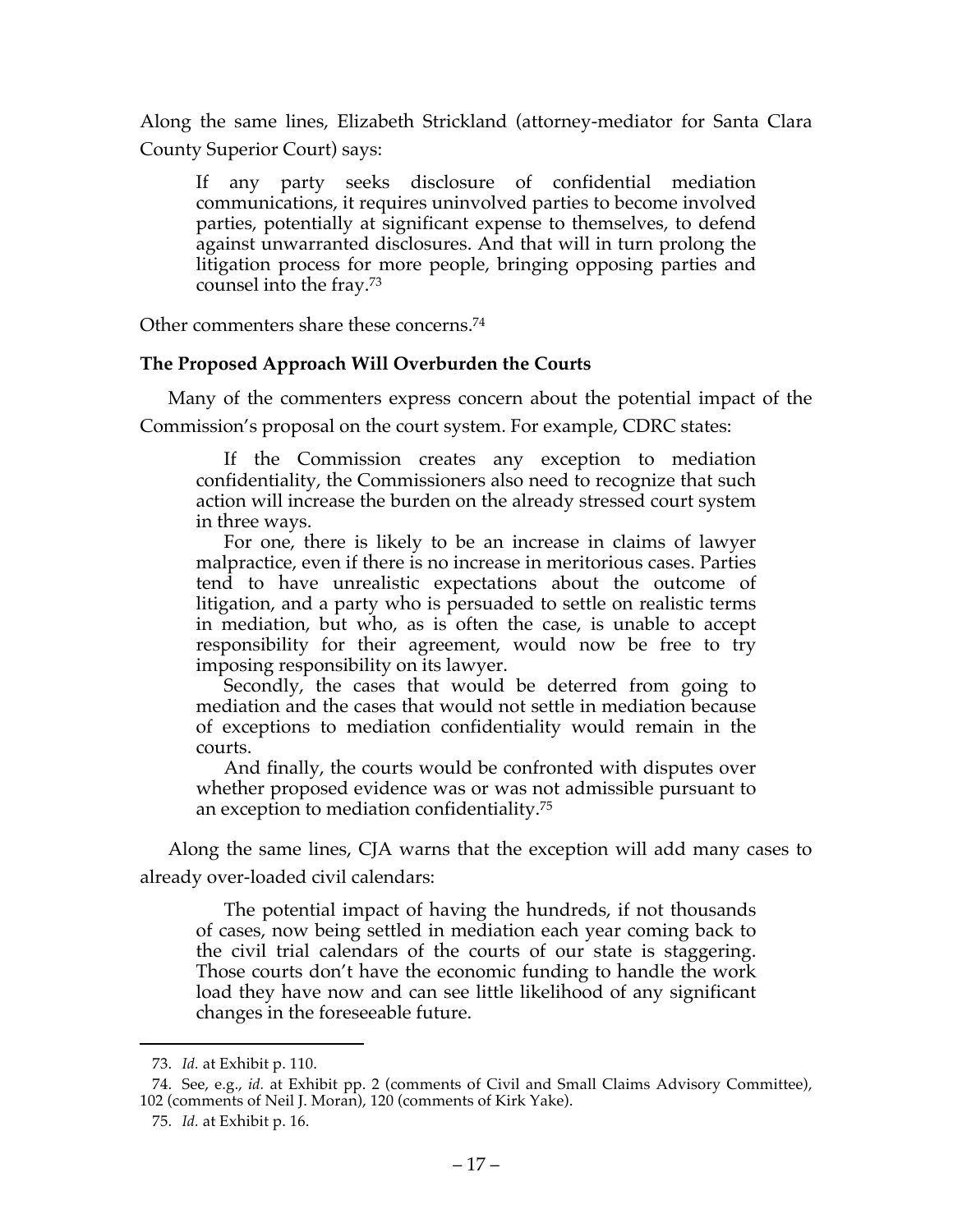Along the same lines, Elizabeth Strickland (attorney-mediator for Santa Clara County Superior Court) says:

If any party seeks disclosure of confidential mediation communications, it requires uninvolved parties to become involved parties, potentially at significant expense to themselves, to defend against unwarranted disclosures. And that will in turn prolong the litigation process for more people, bringing opposing parties and counsel into the fray.73

Other commenters share these concerns.74

# **The Proposed Approach Will Overburden the Courts**

Many of the commenters express concern about the potential impact of the Commission's proposal on the court system. For example, CDRC states:

If the Commission creates any exception to mediation confidentiality, the Commissioners also need to recognize that such action will increase the burden on the already stressed court system in three ways.

For one, there is likely to be an increase in claims of lawyer malpractice, even if there is no increase in meritorious cases. Parties tend to have unrealistic expectations about the outcome of litigation, and a party who is persuaded to settle on realistic terms in mediation, but who, as is often the case, is unable to accept responsibility for their agreement, would now be free to try imposing responsibility on its lawyer.

Secondly, the cases that would be deterred from going to mediation and the cases that would not settle in mediation because of exceptions to mediation confidentiality would remain in the courts.

And finally, the courts would be confronted with disputes over whether proposed evidence was or was not admissible pursuant to an exception to mediation confidentiality.75

Along the same lines, CJA warns that the exception will add many cases to already over-loaded civil calendars:

The potential impact of having the hundreds, if not thousands of cases, now being settled in mediation each year coming back to the civil trial calendars of the courts of our state is staggering. Those courts don't have the economic funding to handle the work load they have now and can see little likelihood of any significant changes in the foreseeable future.

<sup>73.</sup> *Id.* at Exhibit p. 110.

<sup>74.</sup> See, e.g., *id.* at Exhibit pp. 2 (comments of Civil and Small Claims Advisory Committee), 102 (comments of Neil J. Moran), 120 (comments of Kirk Yake).

<sup>75.</sup> *Id.* at Exhibit p. 16.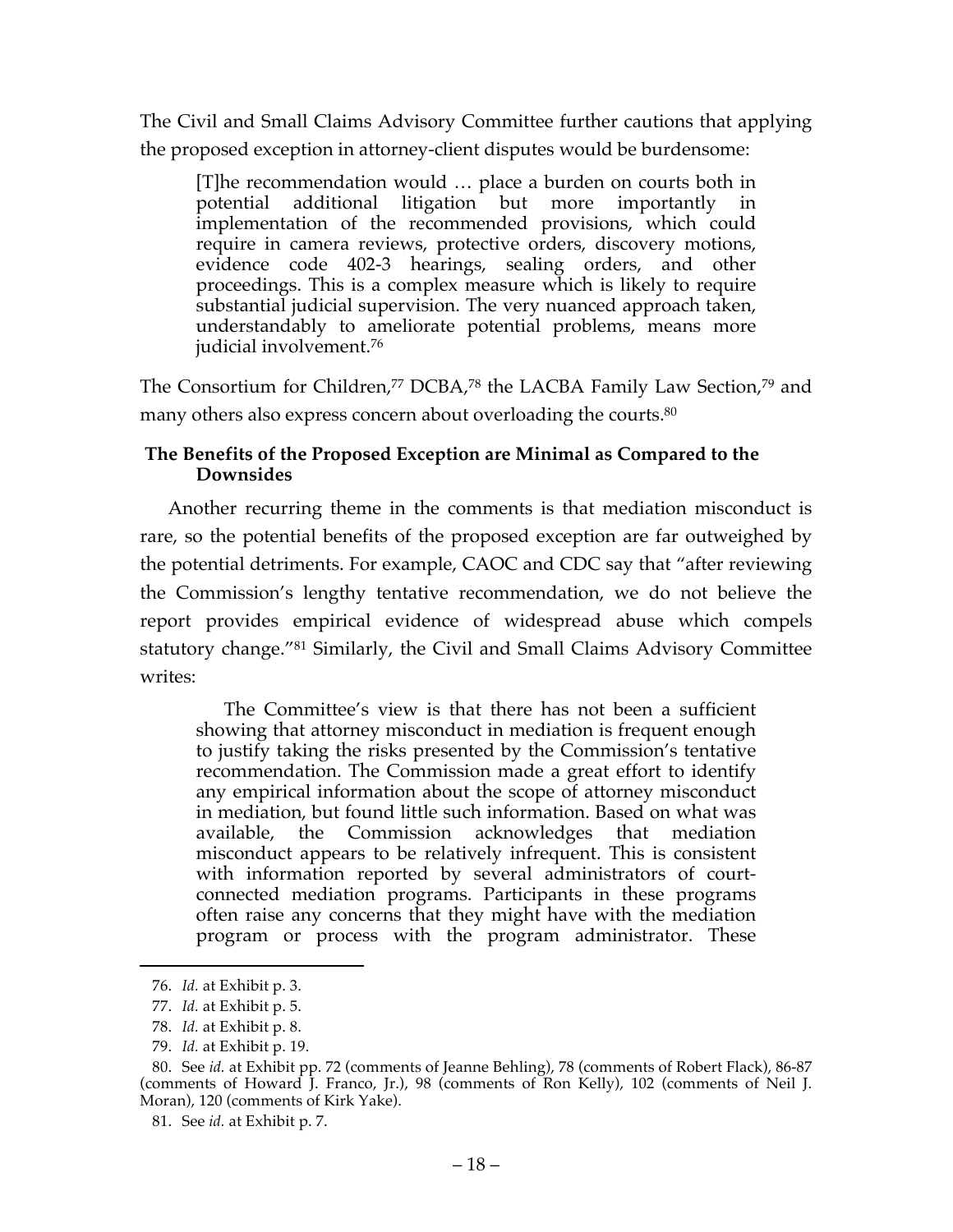The Civil and Small Claims Advisory Committee further cautions that applying the proposed exception in attorney-client disputes would be burdensome:

[T]he recommendation would … place a burden on courts both in potential additional litigation but more importantly in implementation of the recommended provisions, which could require in camera reviews, protective orders, discovery motions, evidence code 402-3 hearings, sealing orders, and other proceedings. This is a complex measure which is likely to require substantial judicial supervision. The very nuanced approach taken, understandably to ameliorate potential problems, means more judicial involvement.76

The Consortium for Children,<sup>77</sup> DCBA,<sup>78</sup> the LACBA Family Law Section,<sup>79</sup> and many others also express concern about overloading the courts.<sup>80</sup>

# **The Benefits of the Proposed Exception are Minimal as Compared to the Downsides**

Another recurring theme in the comments is that mediation misconduct is rare, so the potential benefits of the proposed exception are far outweighed by the potential detriments. For example, CAOC and CDC say that "after reviewing the Commission's lengthy tentative recommendation, we do not believe the report provides empirical evidence of widespread abuse which compels statutory change."81 Similarly, the Civil and Small Claims Advisory Committee writes:

The Committee's view is that there has not been a sufficient showing that attorney misconduct in mediation is frequent enough to justify taking the risks presented by the Commission's tentative recommendation. The Commission made a great effort to identify any empirical information about the scope of attorney misconduct in mediation, but found little such information. Based on what was available, the Commission acknowledges that mediation misconduct appears to be relatively infrequent. This is consistent with information reported by several administrators of courtconnected mediation programs. Participants in these programs often raise any concerns that they might have with the mediation program or process with the program administrator. These

<sup>76.</sup> *Id.* at Exhibit p. 3.

<sup>77.</sup> *Id.* at Exhibit p. 5.

<sup>78.</sup> *Id.* at Exhibit p. 8.

<sup>79.</sup> *Id.* at Exhibit p. 19.

<sup>80.</sup> See *id.* at Exhibit pp. 72 (comments of Jeanne Behling), 78 (comments of Robert Flack), 86-87 (comments of Howard J. Franco, Jr.), 98 (comments of Ron Kelly), 102 (comments of Neil J. Moran), 120 (comments of Kirk Yake).

<sup>81.</sup> See *id.* at Exhibit p. 7.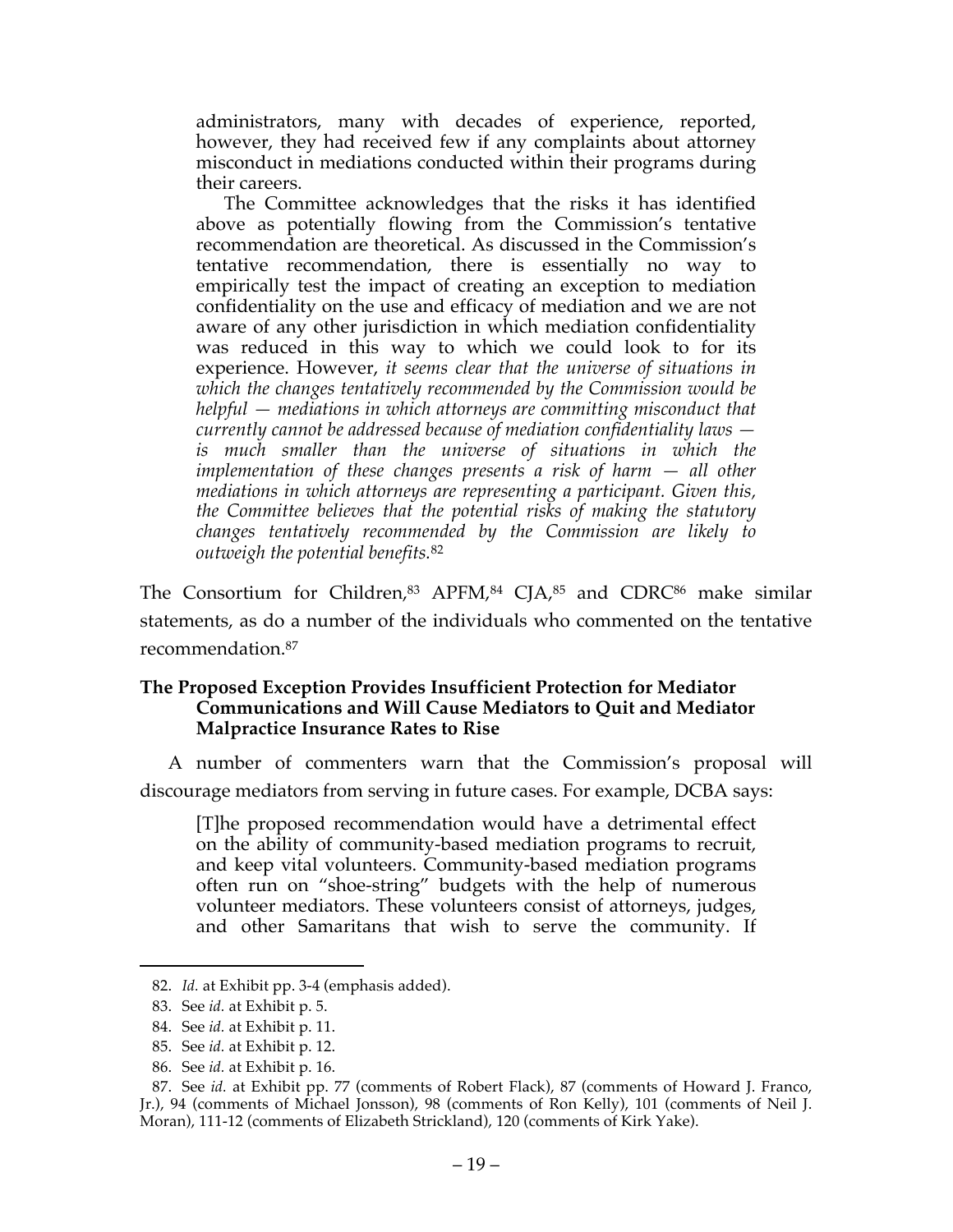administrators, many with decades of experience, reported, however, they had received few if any complaints about attorney misconduct in mediations conducted within their programs during their careers.

The Committee acknowledges that the risks it has identified above as potentially flowing from the Commission's tentative recommendation are theoretical. As discussed in the Commission's tentative recommendation, there is essentially no way to empirically test the impact of creating an exception to mediation confidentiality on the use and efficacy of mediation and we are not aware of any other jurisdiction in which mediation confidentiality was reduced in this way to which we could look to for its experience. However, *it seems clear that the universe of situations in which the changes tentatively recommended by the Commission would be helpful — mediations in which attorneys are committing misconduct that currently cannot be addressed because of mediation confidentiality laws is much smaller than the universe of situations in which the implementation of these changes presents a risk of harm — all other mediations in which attorneys are representing a participant. Given this, the Committee believes that the potential risks of making the statutory changes tentatively recommended by the Commission are likely to outweigh the potential benefits.*<sup>82</sup>

The Consortium for Children,<sup>83</sup> APFM,<sup>84</sup> CJA,<sup>85</sup> and CDRC<sup>86</sup> make similar statements, as do a number of the individuals who commented on the tentative recommendation. 87

### **The Proposed Exception Provides Insufficient Protection for Mediator Communications and Will Cause Mediators to Quit and Mediator Malpractice Insurance Rates to Rise**

A number of commenters warn that the Commission's proposal will discourage mediators from serving in future cases. For example, DCBA says:

[T]he proposed recommendation would have a detrimental effect on the ability of community-based mediation programs to recruit, and keep vital volunteers. Community-based mediation programs often run on "shoe-string" budgets with the help of numerous volunteer mediators. These volunteers consist of attorneys, judges, and other Samaritans that wish to serve the community. If

<sup>82.</sup> *Id.* at Exhibit pp. 3-4 (emphasis added).

<sup>83.</sup> See *id.* at Exhibit p. 5.

<sup>84.</sup> See *id.* at Exhibit p. 11.

<sup>85.</sup> See *id.* at Exhibit p. 12.

<sup>86.</sup> See *id.* at Exhibit p. 16.

<sup>87.</sup> See *id.* at Exhibit pp. 77 (comments of Robert Flack), 87 (comments of Howard J. Franco, Jr.), 94 (comments of Michael Jonsson), 98 (comments of Ron Kelly), 101 (comments of Neil J. Moran), 111-12 (comments of Elizabeth Strickland), 120 (comments of Kirk Yake).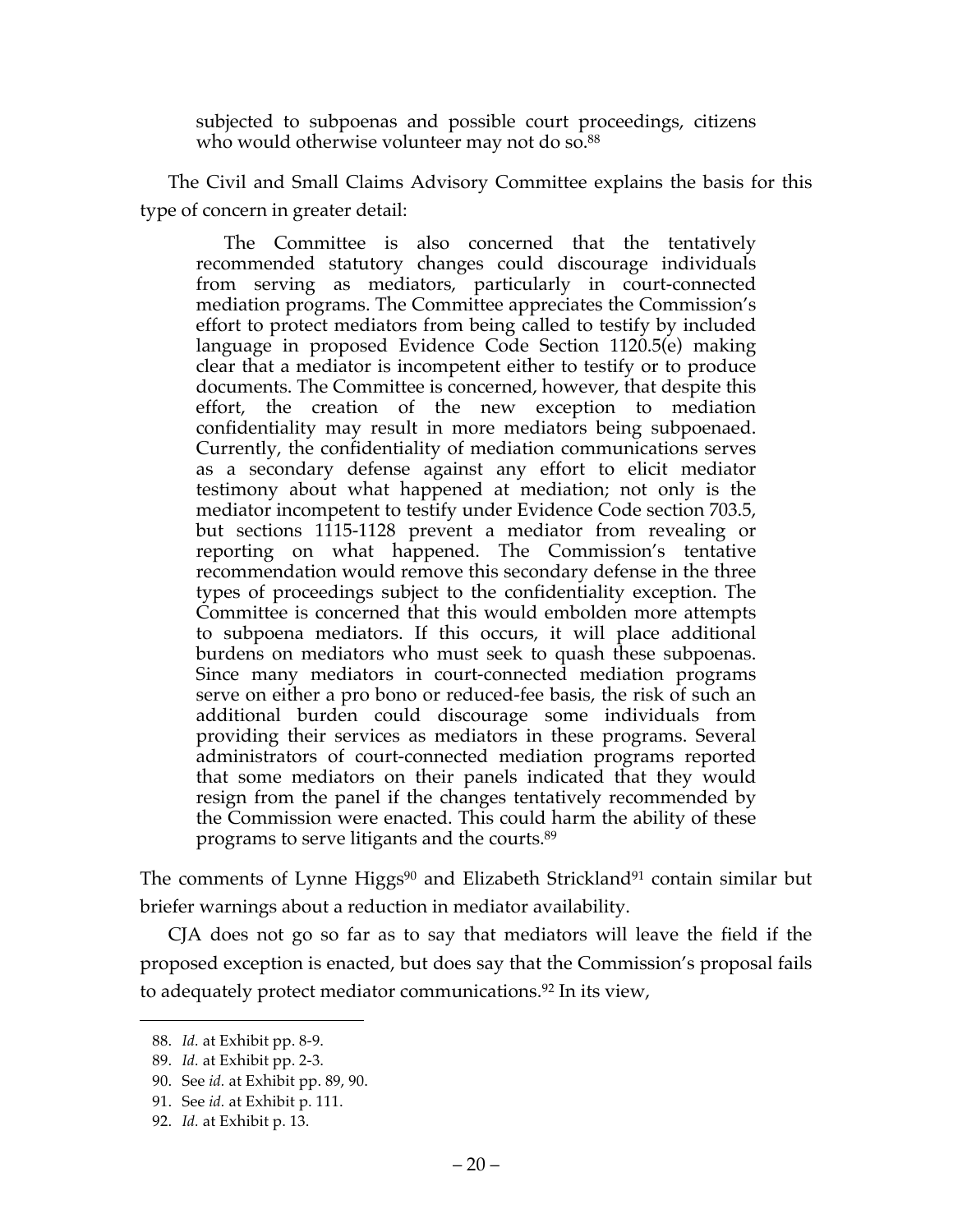subjected to subpoenas and possible court proceedings, citizens who would otherwise volunteer may not do so.<sup>88</sup>

The Civil and Small Claims Advisory Committee explains the basis for this type of concern in greater detail:

The Committee is also concerned that the tentatively recommended statutory changes could discourage individuals from serving as mediators, particularly in court-connected mediation programs. The Committee appreciates the Commission's effort to protect mediators from being called to testify by included language in proposed Evidence Code Section 1120.5(e) making clear that a mediator is incompetent either to testify or to produce documents. The Committee is concerned, however, that despite this effort, the creation of the new exception to mediation confidentiality may result in more mediators being subpoenaed. Currently, the confidentiality of mediation communications serves as a secondary defense against any effort to elicit mediator testimony about what happened at mediation; not only is the mediator incompetent to testify under Evidence Code section 703.5, but sections 1115-1128 prevent a mediator from revealing or reporting on what happened. The Commission's tentative recommendation would remove this secondary defense in the three types of proceedings subject to the confidentiality exception. The Committee is concerned that this would embolden more attempts to subpoena mediators. If this occurs, it will place additional burdens on mediators who must seek to quash these subpoenas. Since many mediators in court-connected mediation programs serve on either a pro bono or reduced-fee basis, the risk of such an additional burden could discourage some individuals from providing their services as mediators in these programs. Several administrators of court-connected mediation programs reported that some mediators on their panels indicated that they would resign from the panel if the changes tentatively recommended by the Commission were enacted. This could harm the ability of these programs to serve litigants and the courts. 89

The comments of Lynne Higgs<sup>90</sup> and Elizabeth Strickland<sup>91</sup> contain similar but briefer warnings about a reduction in mediator availability.

CJA does not go so far as to say that mediators will leave the field if the proposed exception is enacted, but does say that the Commission's proposal fails to adequately protect mediator communications.<sup>92</sup> In its view,

<sup>88.</sup> *Id.* at Exhibit pp. 8-9.

<sup>89.</sup> *Id.* at Exhibit pp. 2-3.

<sup>90.</sup> See *id.* at Exhibit pp. 89, 90.

<sup>91.</sup> See *id.* at Exhibit p. 111.

<sup>92.</sup> *Id.* at Exhibit p. 13.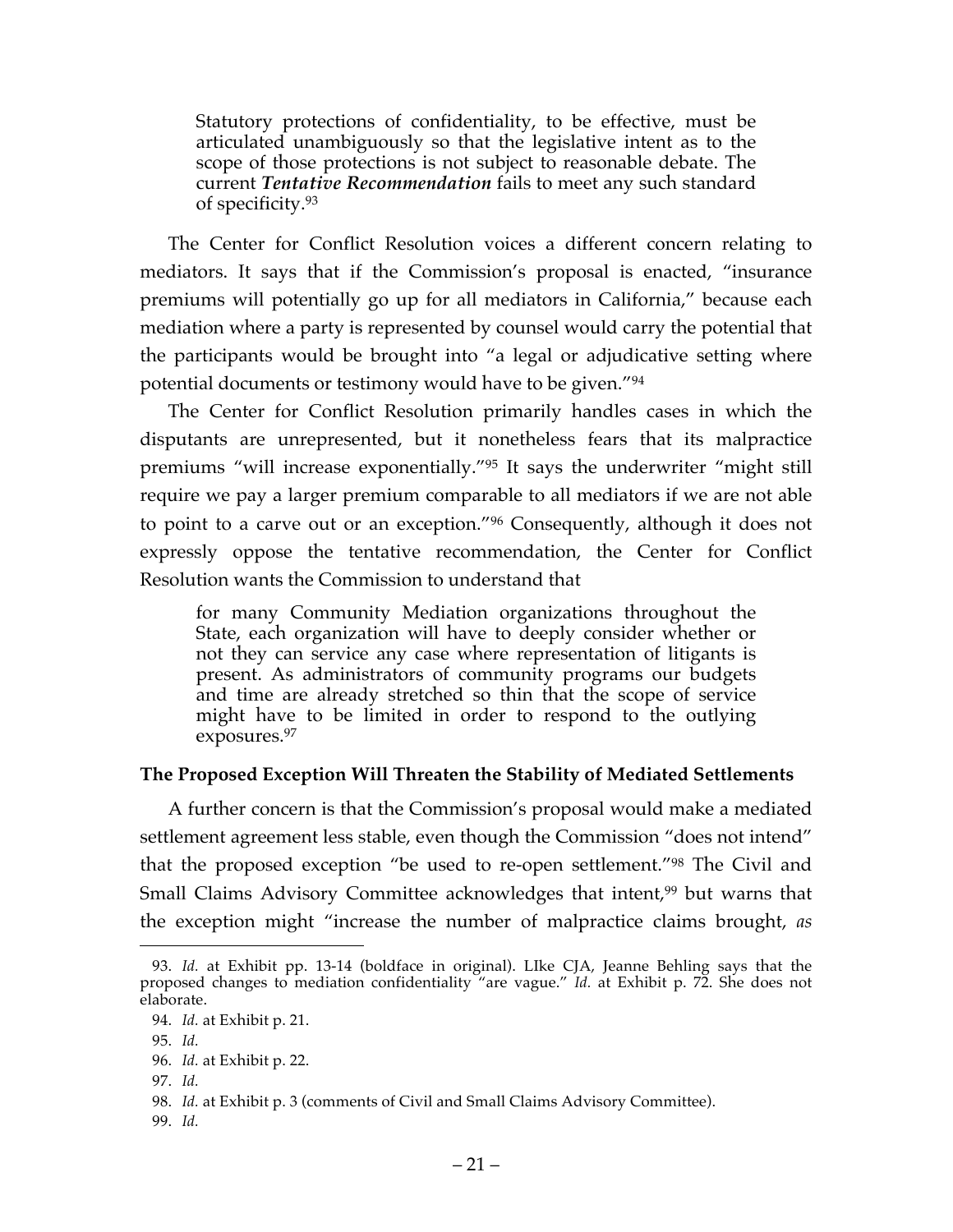Statutory protections of confidentiality, to be effective, must be articulated unambiguously so that the legislative intent as to the scope of those protections is not subject to reasonable debate. The current *Tentative Recommendation* fails to meet any such standard of specificity.93

The Center for Conflict Resolution voices a different concern relating to mediators. It says that if the Commission's proposal is enacted, "insurance premiums will potentially go up for all mediators in California," because each mediation where a party is represented by counsel would carry the potential that the participants would be brought into "a legal or adjudicative setting where potential documents or testimony would have to be given."94

The Center for Conflict Resolution primarily handles cases in which the disputants are unrepresented, but it nonetheless fears that its malpractice premiums "will increase exponentially."95 It says the underwriter "might still require we pay a larger premium comparable to all mediators if we are not able to point to a carve out or an exception."96 Consequently, although it does not expressly oppose the tentative recommendation, the Center for Conflict Resolution wants the Commission to understand that

for many Community Mediation organizations throughout the State, each organization will have to deeply consider whether or not they can service any case where representation of litigants is present. As administrators of community programs our budgets and time are already stretched so thin that the scope of service might have to be limited in order to respond to the outlying exposures.97

# **The Proposed Exception Will Threaten the Stability of Mediated Settlements**

A further concern is that the Commission's proposal would make a mediated settlement agreement less stable, even though the Commission "does not intend" that the proposed exception "be used to re-open settlement."98 The Civil and Small Claims Advisory Committee acknowledges that intent,<sup>99</sup> but warns that the exception might "increase the number of malpractice claims brought, *as* 

<sup>93.</sup> *Id.* at Exhibit pp. 13-14 (boldface in original). LIke CJA, Jeanne Behling says that the proposed changes to mediation confidentiality "are vague." *Id.* at Exhibit p. 72. She does not elaborate.

<sup>94.</sup> *Id.* at Exhibit p. 21.

<sup>95.</sup> *Id.*

<sup>96.</sup> *Id.* at Exhibit p. 22.

<sup>97.</sup> *Id.*

<sup>98.</sup> *Id.* at Exhibit p. 3 (comments of Civil and Small Claims Advisory Committee).

<sup>99.</sup> *Id.*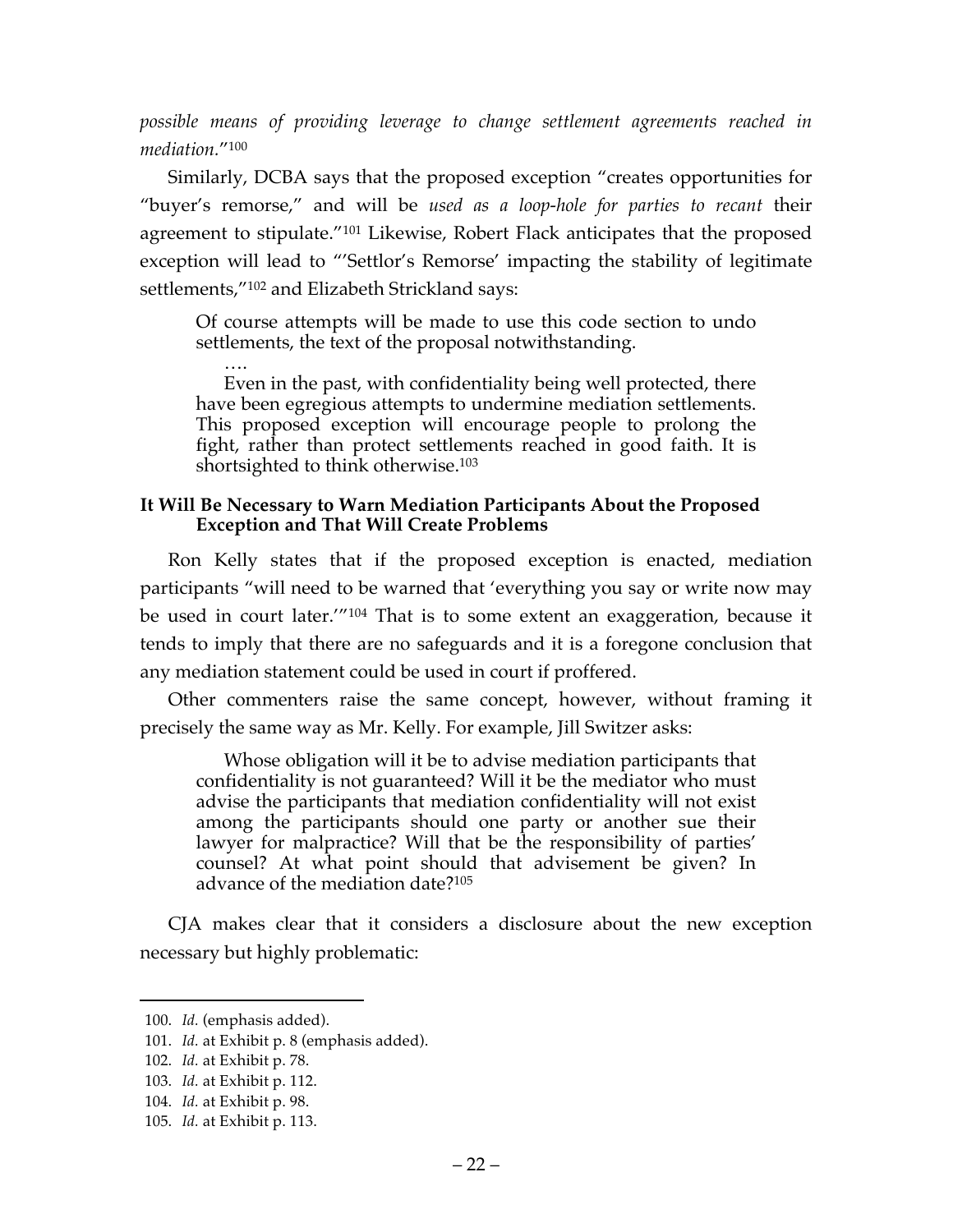*possible means of providing leverage to change settlement agreements reached in mediation.*"100

Similarly, DCBA says that the proposed exception "creates opportunities for "buyer's remorse," and will be *used as a loop-hole for parties to recant* their agreement to stipulate."101 Likewise, Robert Flack anticipates that the proposed exception will lead to "'Settlor's Remorse' impacting the stability of legitimate settlements,"102 and Elizabeth Strickland says:

Of course attempts will be made to use this code section to undo settlements, the text of the proposal notwithstanding.

…. Even in the past, with confidentiality being well protected, there have been egregious attempts to undermine mediation settlements. This proposed exception will encourage people to prolong the fight, rather than protect settlements reached in good faith. It is shortsighted to think otherwise.<sup>103</sup>

## **It Will Be Necessary to Warn Mediation Participants About the Proposed Exception and That Will Create Problems**

Ron Kelly states that if the proposed exception is enacted, mediation participants "will need to be warned that 'everything you say or write now may be used in court later.'"104 That is to some extent an exaggeration, because it tends to imply that there are no safeguards and it is a foregone conclusion that any mediation statement could be used in court if proffered.

Other commenters raise the same concept, however, without framing it precisely the same way as Mr. Kelly. For example, Jill Switzer asks:

Whose obligation will it be to advise mediation participants that confidentiality is not guaranteed? Will it be the mediator who must advise the participants that mediation confidentiality will not exist among the participants should one party or another sue their lawyer for malpractice? Will that be the responsibility of parties' counsel? At what point should that advisement be given? In advance of the mediation date?105

CJA makes clear that it considers a disclosure about the new exception necessary but highly problematic:

<sup>100.</sup> *Id.* (emphasis added).

<sup>101.</sup> *Id.* at Exhibit p. 8 (emphasis added).

<sup>102.</sup> *Id.* at Exhibit p. 78.

<sup>103.</sup> *Id.* at Exhibit p. 112.

<sup>104.</sup> *Id.* at Exhibit p. 98.

<sup>105.</sup> *Id.* at Exhibit p. 113.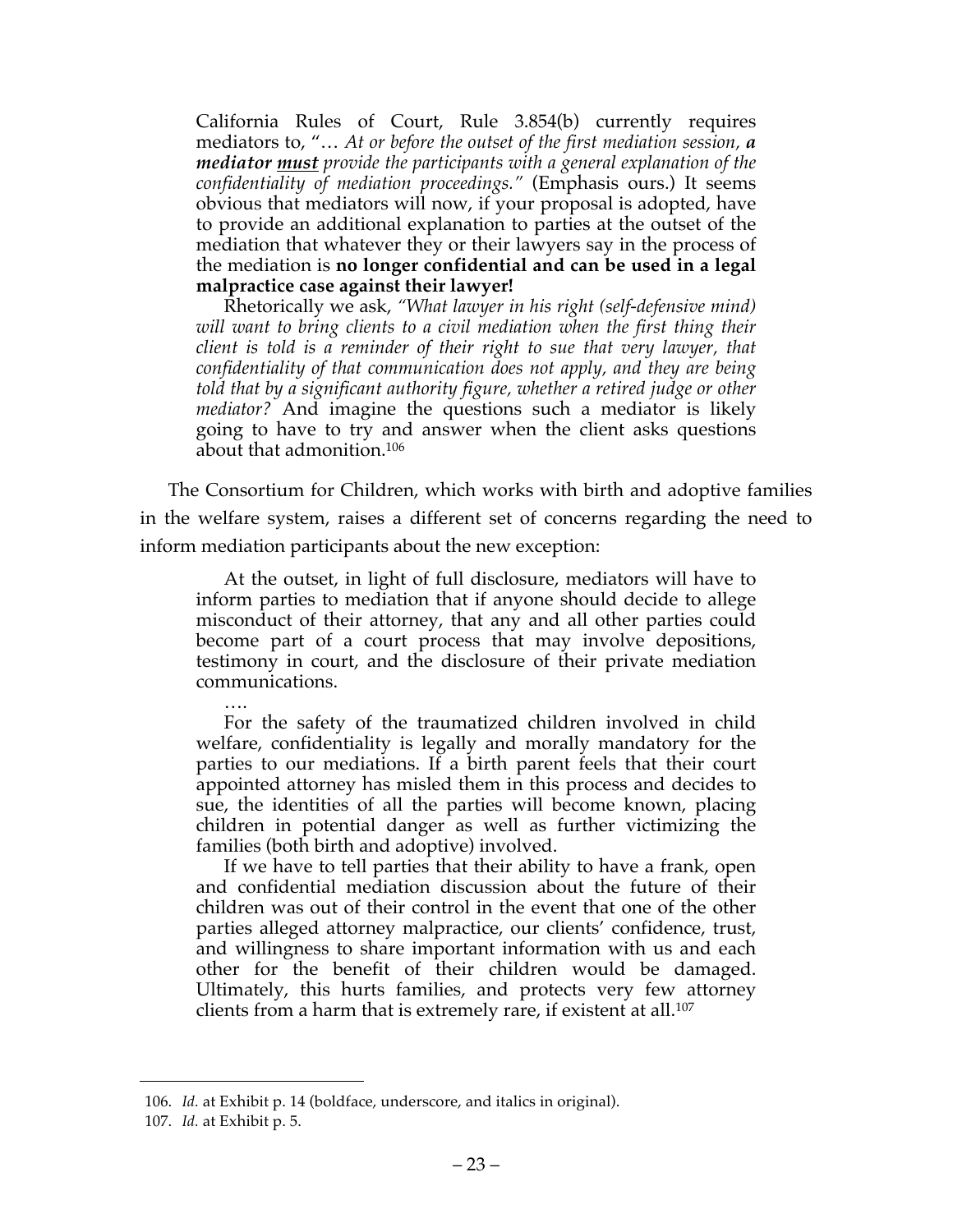California Rules of Court, Rule 3.854(b) currently requires mediators to, "… *At or before the outset of the first mediation session, a mediator must provide the participants with a general explanation of the confidentiality of mediation proceedings."* (Emphasis ours.) It seems obvious that mediators will now, if your proposal is adopted, have to provide an additional explanation to parties at the outset of the mediation that whatever they or their lawyers say in the process of the mediation is **no longer confidential and can be used in a legal malpractice case against their lawyer!**

Rhetorically we ask, *"What lawyer in his right (self-defensive mind) will want to bring clients to a civil mediation when the first thing their client is told is a reminder of their right to sue that very lawyer, that confidentiality of that communication does not apply, and they are being told that by a significant authority figure, whether a retired judge or other mediator?* And imagine the questions such a mediator is likely going to have to try and answer when the client asks questions about that admonition.106

The Consortium for Children, which works with birth and adoptive families in the welfare system, raises a different set of concerns regarding the need to inform mediation participants about the new exception:

At the outset, in light of full disclosure, mediators will have to inform parties to mediation that if anyone should decide to allege misconduct of their attorney, that any and all other parties could become part of a court process that may involve depositions, testimony in court, and the disclosure of their private mediation communications.

…. For the safety of the traumatized children involved in child welfare, confidentiality is legally and morally mandatory for the parties to our mediations. If a birth parent feels that their court appointed attorney has misled them in this process and decides to sue, the identities of all the parties will become known, placing children in potential danger as well as further victimizing the families (both birth and adoptive) involved.

If we have to tell parties that their ability to have a frank, open and confidential mediation discussion about the future of their children was out of their control in the event that one of the other parties alleged attorney malpractice, our clients' confidence, trust, and willingness to share important information with us and each other for the benefit of their children would be damaged. Ultimately, this hurts families, and protects very few attorney clients from a harm that is extremely rare, if existent at all.107

<sup>106.</sup> *Id.* at Exhibit p. 14 (boldface, underscore, and italics in original).

<sup>107.</sup> *Id.* at Exhibit p. 5.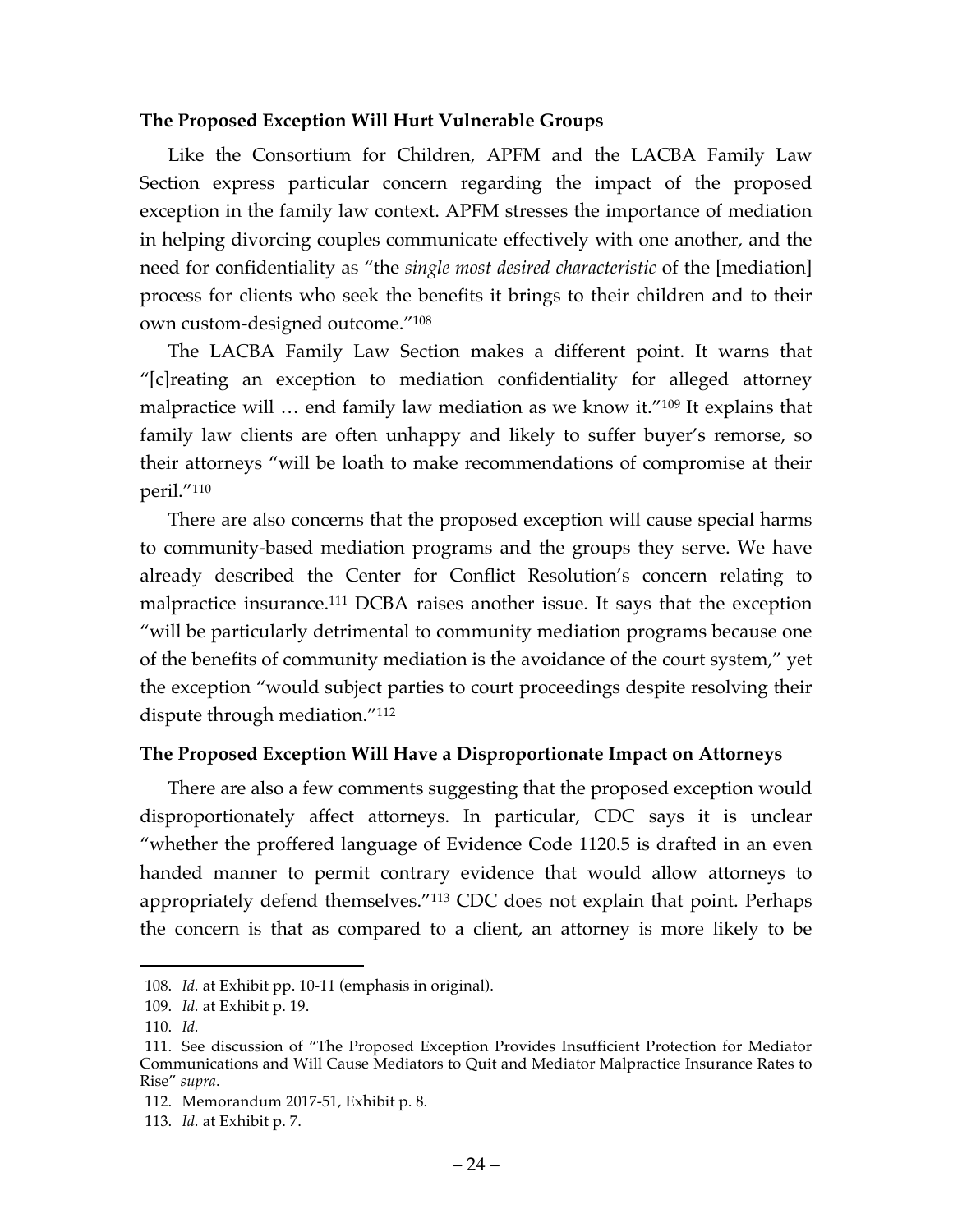### **The Proposed Exception Will Hurt Vulnerable Groups**

Like the Consortium for Children, APFM and the LACBA Family Law Section express particular concern regarding the impact of the proposed exception in the family law context. APFM stresses the importance of mediation in helping divorcing couples communicate effectively with one another, and the need for confidentiality as "the *single most desired characteristic* of the [mediation] process for clients who seek the benefits it brings to their children and to their own custom-designed outcome."108

The LACBA Family Law Section makes a different point. It warns that "[c]reating an exception to mediation confidentiality for alleged attorney malpractice will ... end family law mediation as we know it."<sup>109</sup> It explains that family law clients are often unhappy and likely to suffer buyer's remorse, so their attorneys "will be loath to make recommendations of compromise at their peril."110

There are also concerns that the proposed exception will cause special harms to community-based mediation programs and the groups they serve. We have already described the Center for Conflict Resolution's concern relating to malpractice insurance.111 DCBA raises another issue. It says that the exception "will be particularly detrimental to community mediation programs because one of the benefits of community mediation is the avoidance of the court system," yet the exception "would subject parties to court proceedings despite resolving their dispute through mediation."112

### **The Proposed Exception Will Have a Disproportionate Impact on Attorneys**

There are also a few comments suggesting that the proposed exception would disproportionately affect attorneys. In particular, CDC says it is unclear "whether the proffered language of Evidence Code 1120.5 is drafted in an even handed manner to permit contrary evidence that would allow attorneys to appropriately defend themselves."113 CDC does not explain that point. Perhaps the concern is that as compared to a client, an attorney is more likely to be

<sup>108.</sup> *Id.* at Exhibit pp. 10-11 (emphasis in original).

<sup>109.</sup> *Id.* at Exhibit p. 19.

<sup>110.</sup> *Id.*

<sup>111.</sup> See discussion of "The Proposed Exception Provides Insufficient Protection for Mediator Communications and Will Cause Mediators to Quit and Mediator Malpractice Insurance Rates to Rise" *supra*.

<sup>112.</sup> Memorandum 2017-51, Exhibit p. 8.

<sup>113.</sup> *Id.* at Exhibit p. 7.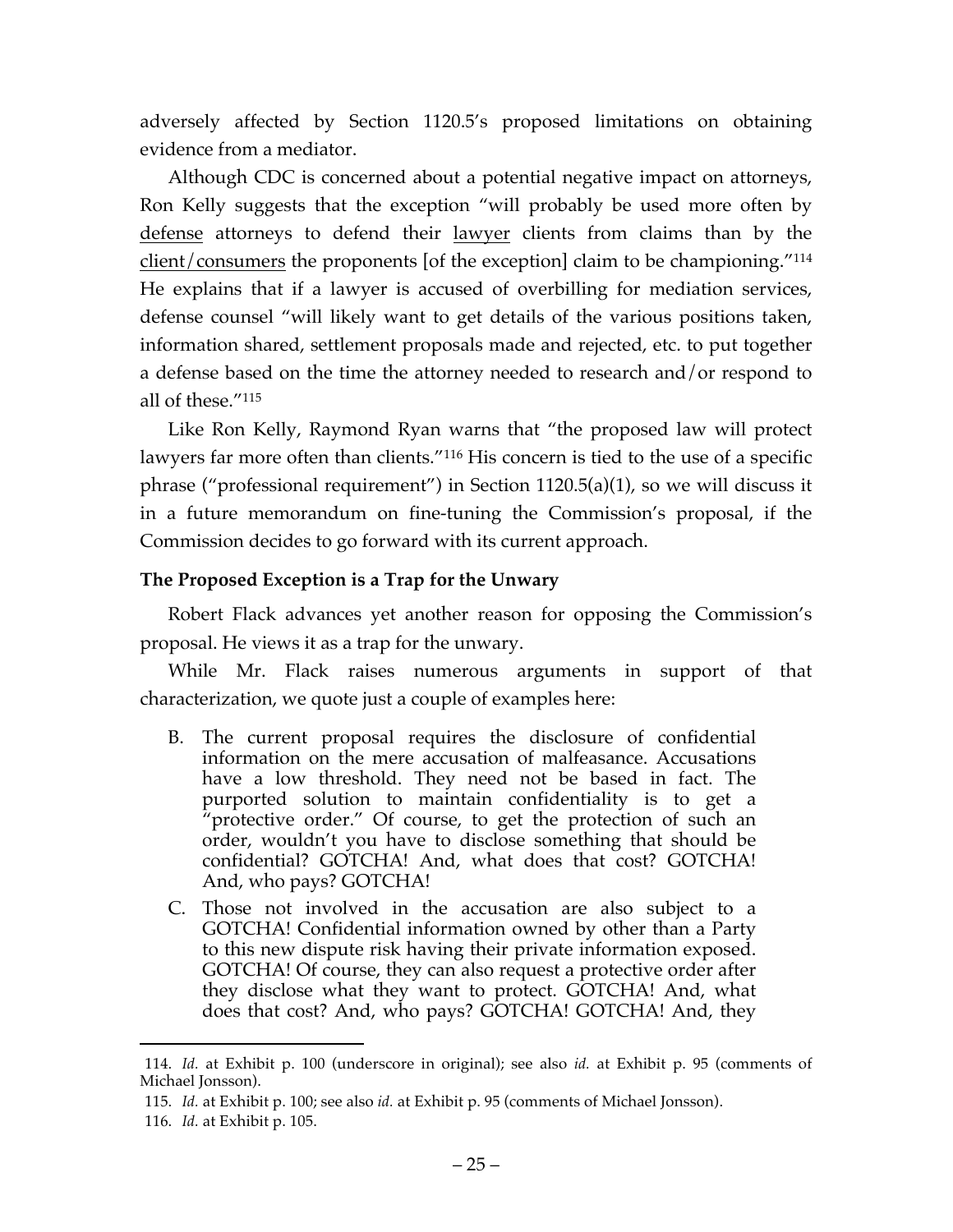adversely affected by Section 1120.5's proposed limitations on obtaining evidence from a mediator.

Although CDC is concerned about a potential negative impact on attorneys, Ron Kelly suggests that the exception "will probably be used more often by defense attorneys to defend their lawyer clients from claims than by the client/consumers the proponents [of the exception] claim to be championing."114 He explains that if a lawyer is accused of overbilling for mediation services, defense counsel "will likely want to get details of the various positions taken, information shared, settlement proposals made and rejected, etc. to put together a defense based on the time the attorney needed to research and/or respond to all of these."115

Like Ron Kelly, Raymond Ryan warns that "the proposed law will protect lawyers far more often than clients."<sup>116</sup> His concern is tied to the use of a specific phrase ("professional requirement") in Section 1120.5(a)(1), so we will discuss it in a future memorandum on fine-tuning the Commission's proposal, if the Commission decides to go forward with its current approach.

# **The Proposed Exception is a Trap for the Unwary**

Robert Flack advances yet another reason for opposing the Commission's proposal. He views it as a trap for the unwary.

While Mr. Flack raises numerous arguments in support of that characterization, we quote just a couple of examples here:

- B. The current proposal requires the disclosure of confidential information on the mere accusation of malfeasance. Accusations have a low threshold. They need not be based in fact. The purported solution to maintain confidentiality is to get a "protective order." Of course, to get the protection of such an order, wouldn't you have to disclose something that should be confidential? GOTCHA! And, what does that cost? GOTCHA! And, who pays? GOTCHA!
- C. Those not involved in the accusation are also subject to a GOTCHA! Confidential information owned by other than a Party to this new dispute risk having their private information exposed. GOTCHA! Of course, they can also request a protective order after they disclose what they want to protect. GOTCHA! And, what does that cost? And, who pays? GOTCHA! GOTCHA! And, they

<sup>114.</sup> *Id.* at Exhibit p. 100 (underscore in original); see also *id.* at Exhibit p. 95 (comments of Michael Jonsson).

<sup>115.</sup> *Id.* at Exhibit p. 100; see also *id.* at Exhibit p. 95 (comments of Michael Jonsson).

<sup>116.</sup> *Id.* at Exhibit p. 105.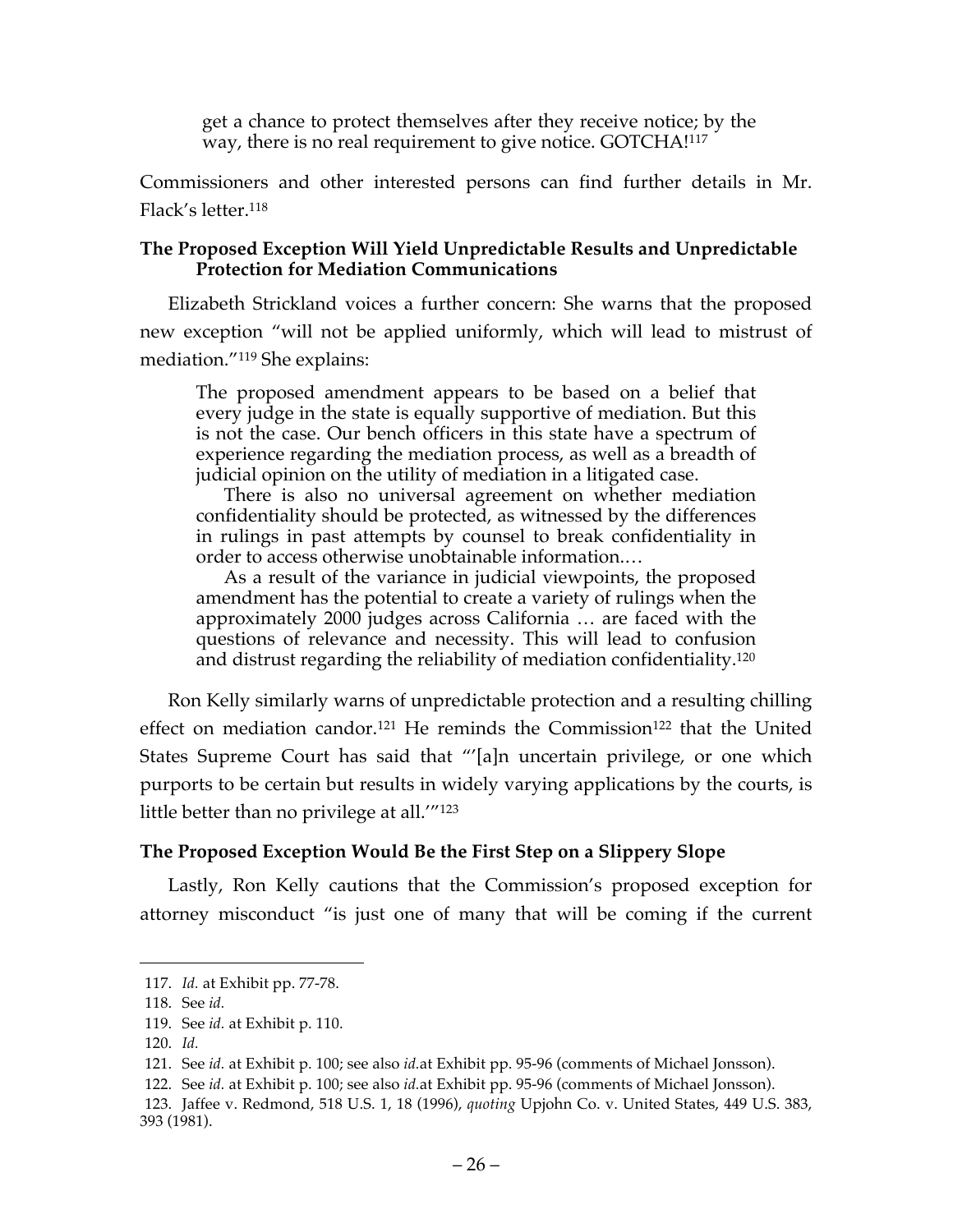get a chance to protect themselves after they receive notice; by the way, there is no real requirement to give notice. GOTCHA!<sup>117</sup>

Commissioners and other interested persons can find further details in Mr. Flack's letter.118

## **The Proposed Exception Will Yield Unpredictable Results and Unpredictable Protection for Mediation Communications**

Elizabeth Strickland voices a further concern: She warns that the proposed new exception "will not be applied uniformly, which will lead to mistrust of mediation."119 She explains:

The proposed amendment appears to be based on a belief that every judge in the state is equally supportive of mediation. But this is not the case. Our bench officers in this state have a spectrum of experience regarding the mediation process, as well as a breadth of judicial opinion on the utility of mediation in a litigated case.

There is also no universal agreement on whether mediation confidentiality should be protected, as witnessed by the differences in rulings in past attempts by counsel to break confidentiality in order to access otherwise unobtainable information.…

As a result of the variance in judicial viewpoints, the proposed amendment has the potential to create a variety of rulings when the approximately 2000 judges across California … are faced with the questions of relevance and necessity. This will lead to confusion and distrust regarding the reliability of mediation confidentiality.120

Ron Kelly similarly warns of unpredictable protection and a resulting chilling effect on mediation candor.<sup>121</sup> He reminds the Commission<sup>122</sup> that the United States Supreme Court has said that "'[a]n uncertain privilege, or one which purports to be certain but results in widely varying applications by the courts, is little better than no privilege at all.'"123

# **The Proposed Exception Would Be the First Step on a Slippery Slope**

Lastly, Ron Kelly cautions that the Commission's proposed exception for attorney misconduct "is just one of many that will be coming if the current

<sup>117.</sup> *Id.* at Exhibit pp. 77-78.

<sup>118.</sup> See *id.*

<sup>119.</sup> See *id.* at Exhibit p. 110.

<sup>120.</sup> *Id.*

<sup>121.</sup> See *id.* at Exhibit p. 100; see also *id.*at Exhibit pp. 95-96 (comments of Michael Jonsson).

<sup>122.</sup> See *id.* at Exhibit p. 100; see also *id.*at Exhibit pp. 95-96 (comments of Michael Jonsson).

<sup>123.</sup> Jaffee v. Redmond, 518 U.S. 1, 18 (1996), *quoting* Upjohn Co. v. United States, 449 U.S. 383, 393 (1981).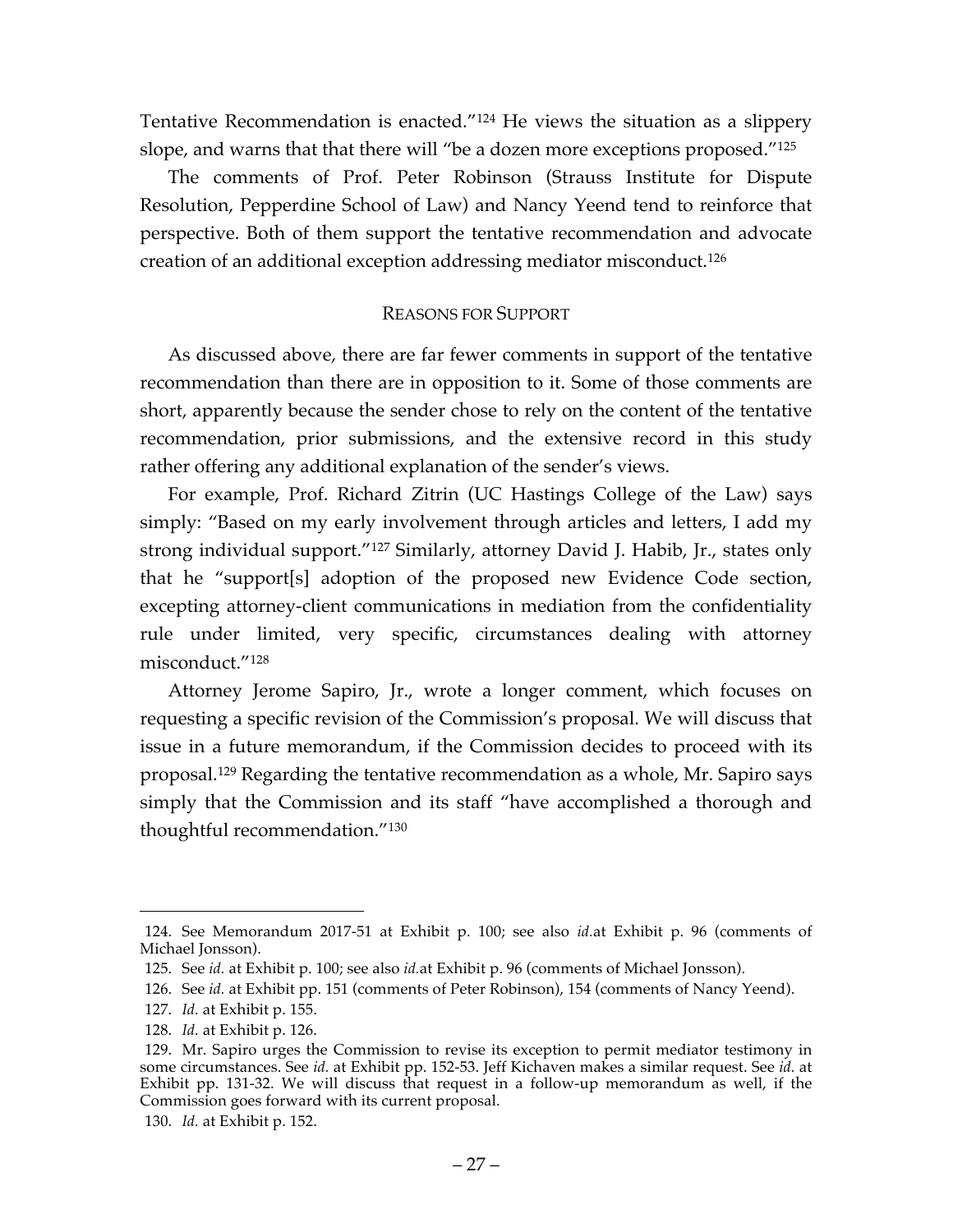Tentative Recommendation is enacted."124 He views the situation as a slippery slope, and warns that that there will "be a dozen more exceptions proposed."125

The comments of Prof. Peter Robinson (Strauss Institute for Dispute Resolution, Pepperdine School of Law) and Nancy Yeend tend to reinforce that perspective. Both of them support the tentative recommendation and advocate creation of an additional exception addressing mediator misconduct.126

# REASONS FOR SUPPORT

As discussed above, there are far fewer comments in support of the tentative recommendation than there are in opposition to it. Some of those comments are short, apparently because the sender chose to rely on the content of the tentative recommendation, prior submissions, and the extensive record in this study rather offering any additional explanation of the sender's views.

For example, Prof. Richard Zitrin (UC Hastings College of the Law) says simply: "Based on my early involvement through articles and letters, I add my strong individual support."127 Similarly, attorney David J. Habib, Jr., states only that he "support[s] adoption of the proposed new Evidence Code section, excepting attorney-client communications in mediation from the confidentiality rule under limited, very specific, circumstances dealing with attorney misconduct."128

Attorney Jerome Sapiro, Jr., wrote a longer comment, which focuses on requesting a specific revision of the Commission's proposal. We will discuss that issue in a future memorandum, if the Commission decides to proceed with its proposal. <sup>129</sup> Regarding the tentative recommendation as a whole, Mr. Sapiro says simply that the Commission and its staff "have accomplished a thorough and thoughtful recommendation."130

<sup>124.</sup> See Memorandum 2017-51 at Exhibit p. 100; see also *id.*at Exhibit p. 96 (comments of Michael Jonsson).

<sup>125.</sup> See *id.* at Exhibit p. 100; see also *id.*at Exhibit p. 96 (comments of Michael Jonsson).

<sup>126.</sup> See *id.* at Exhibit pp. 151 (comments of Peter Robinson), 154 (comments of Nancy Yeend).

<sup>127.</sup> *Id.* at Exhibit p. 155.

<sup>128.</sup> *Id.* at Exhibit p. 126.

<sup>129.</sup> Mr. Sapiro urges the Commission to revise its exception to permit mediator testimony in some circumstances. See *id.* at Exhibit pp. 152-53. Jeff Kichaven makes a similar request. See *id.* at Exhibit pp. 131-32. We will discuss that request in a follow-up memorandum as well, if the Commission goes forward with its current proposal.

<sup>130.</sup> *Id.* at Exhibit p. 152.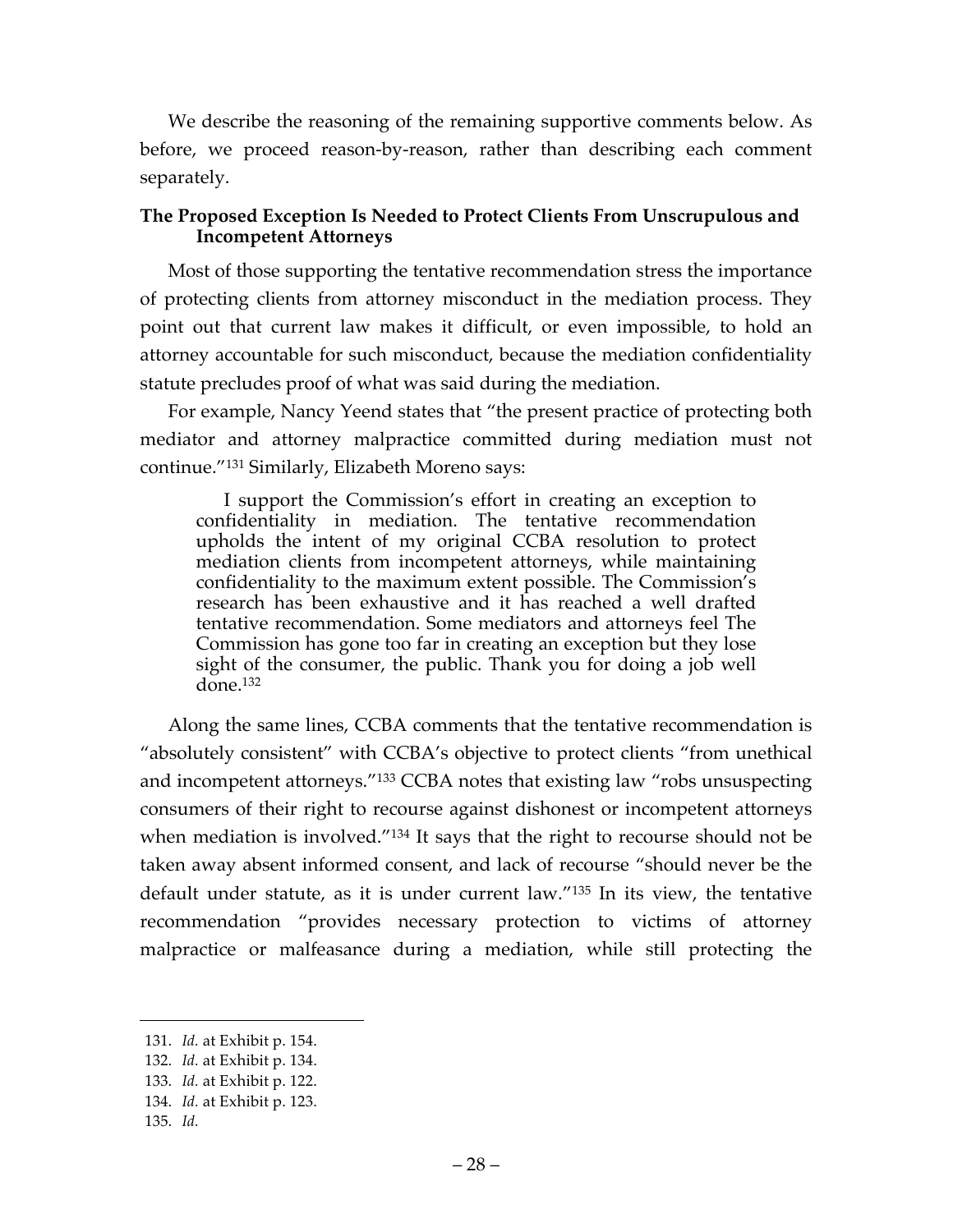We describe the reasoning of the remaining supportive comments below. As before, we proceed reason-by-reason, rather than describing each comment separately.

## **The Proposed Exception Is Needed to Protect Clients From Unscrupulous and Incompetent Attorneys**

Most of those supporting the tentative recommendation stress the importance of protecting clients from attorney misconduct in the mediation process. They point out that current law makes it difficult, or even impossible, to hold an attorney accountable for such misconduct, because the mediation confidentiality statute precludes proof of what was said during the mediation.

For example, Nancy Yeend states that "the present practice of protecting both mediator and attorney malpractice committed during mediation must not continue."131 Similarly, Elizabeth Moreno says:

I support the Commission's effort in creating an exception to confidentiality in mediation. The tentative recommendation upholds the intent of my original CCBA resolution to protect mediation clients from incompetent attorneys, while maintaining confidentiality to the maximum extent possible. The Commission's research has been exhaustive and it has reached a well drafted tentative recommendation. Some mediators and attorneys feel The Commission has gone too far in creating an exception but they lose sight of the consumer, the public. Thank you for doing a job well  $done.<sup>132</sup>$ 

Along the same lines, CCBA comments that the tentative recommendation is "absolutely consistent" with CCBA's objective to protect clients "from unethical and incompetent attorneys."133 CCBA notes that existing law "robs unsuspecting consumers of their right to recourse against dishonest or incompetent attorneys when mediation is involved.<sup>"134</sup> It says that the right to recourse should not be taken away absent informed consent, and lack of recourse "should never be the default under statute, as it is under current law."135 In its view, the tentative recommendation "provides necessary protection to victims of attorney malpractice or malfeasance during a mediation, while still protecting the

<sup>131.</sup> *Id.* at Exhibit p. 154.

<sup>132.</sup> *Id.* at Exhibit p. 134.

<sup>133.</sup> *Id.* at Exhibit p. 122.

<sup>134.</sup> *Id.* at Exhibit p. 123.

<sup>135.</sup> *Id.*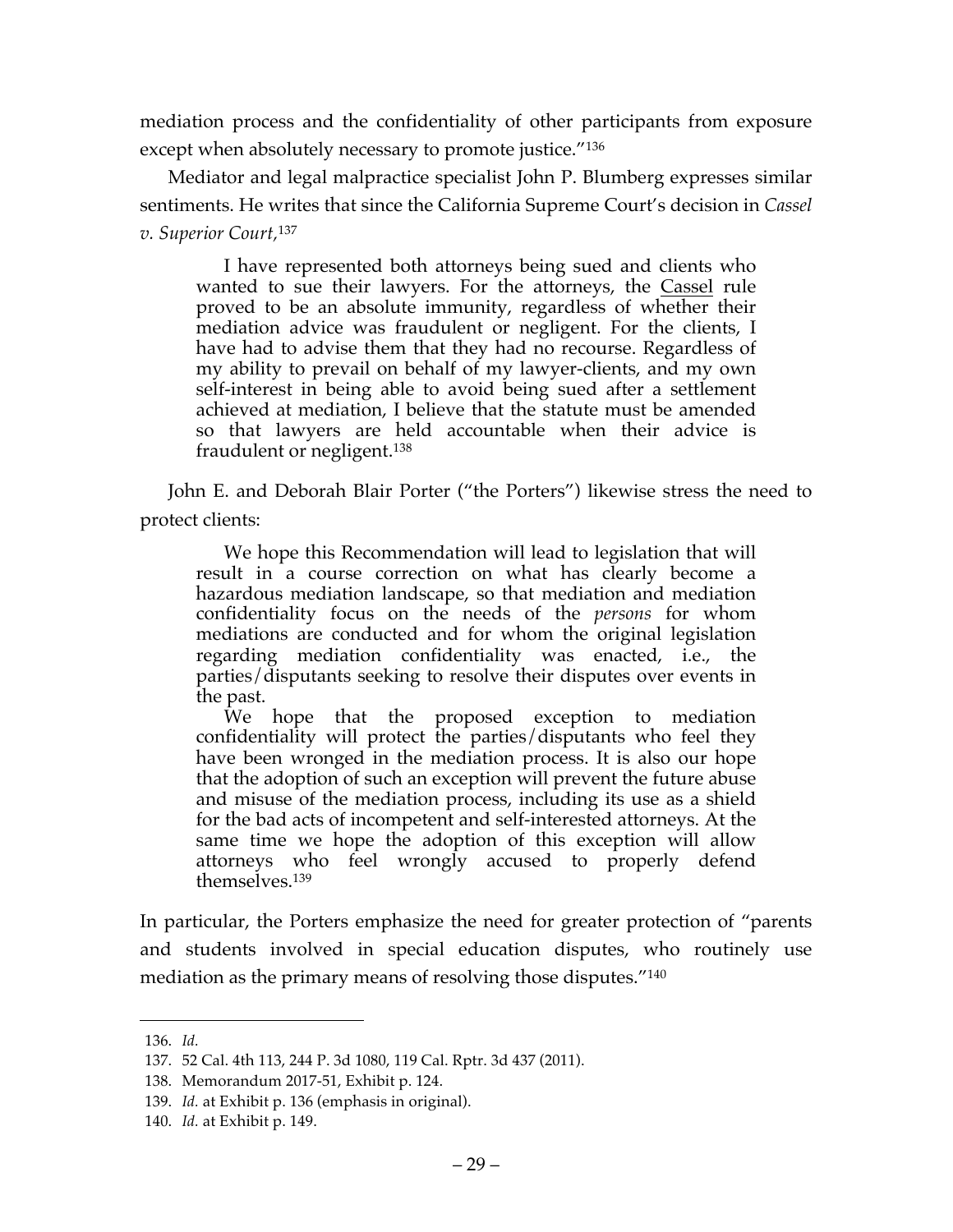mediation process and the confidentiality of other participants from exposure except when absolutely necessary to promote justice."<sup>136</sup>

Mediator and legal malpractice specialist John P. Blumberg expresses similar sentiments. He writes that since the California Supreme Court's decision in *Cassel v. Superior Court,*<sup>137</sup>

I have represented both attorneys being sued and clients who wanted to sue their lawyers. For the attorneys, the Cassel rule proved to be an absolute immunity, regardless of whether their mediation advice was fraudulent or negligent. For the clients, I have had to advise them that they had no recourse. Regardless of my ability to prevail on behalf of my lawyer-clients, and my own self-interest in being able to avoid being sued after a settlement achieved at mediation, I believe that the statute must be amended so that lawyers are held accountable when their advice is fraudulent or negligent.138

John E. and Deborah Blair Porter ("the Porters") likewise stress the need to protect clients:

We hope this Recommendation will lead to legislation that will result in a course correction on what has clearly become a hazardous mediation landscape, so that mediation and mediation confidentiality focus on the needs of the *persons* for whom mediations are conducted and for whom the original legislation regarding mediation confidentiality was enacted, i.e., the parties/disputants seeking to resolve their disputes over events in the past.

We hope that the proposed exception to mediation confidentiality will protect the parties/disputants who feel they have been wronged in the mediation process. It is also our hope that the adoption of such an exception will prevent the future abuse and misuse of the mediation process, including its use as a shield for the bad acts of incompetent and self-interested attorneys. At the same time we hope the adoption of this exception will allow attorneys who feel wrongly accused to properly defend themselves.139

In particular, the Porters emphasize the need for greater protection of "parents and students involved in special education disputes, who routinely use mediation as the primary means of resolving those disputes."140

<sup>136.</sup> *Id.*

<sup>137.</sup> 52 Cal. 4th 113, 244 P. 3d 1080, 119 Cal. Rptr. 3d 437 (2011).

<sup>138.</sup> Memorandum 2017-51, Exhibit p. 124.

<sup>139.</sup> *Id.* at Exhibit p. 136 (emphasis in original).

<sup>140.</sup> *Id.* at Exhibit p. 149.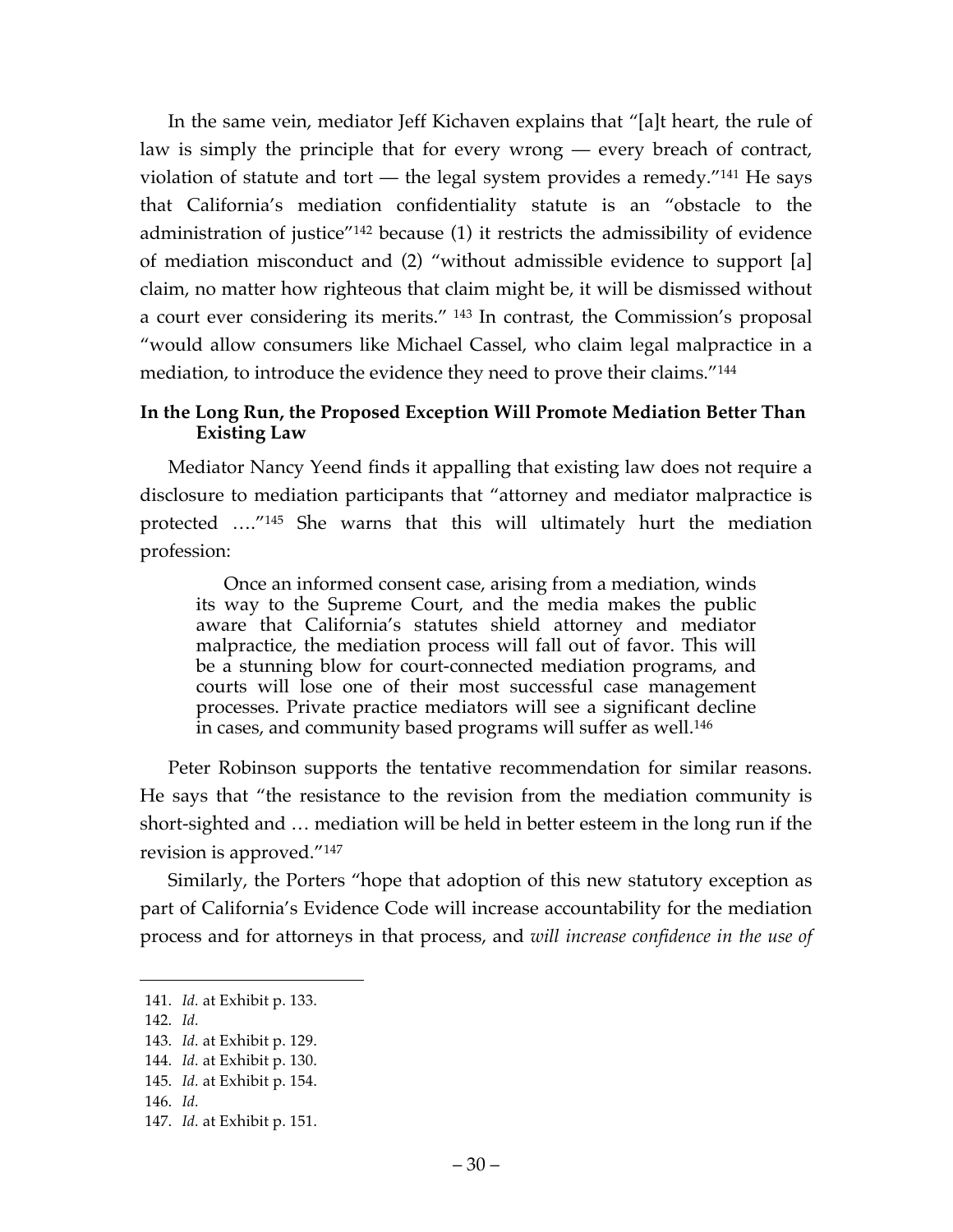In the same vein, mediator Jeff Kichaven explains that "[a]t heart, the rule of law is simply the principle that for every wrong — every breach of contract, violation of statute and tort — the legal system provides a remedy. $141$  He says that California's mediation confidentiality statute is an "obstacle to the administration of justice"142 because (1) it restricts the admissibility of evidence of mediation misconduct and (2) "without admissible evidence to support [a] claim, no matter how righteous that claim might be, it will be dismissed without a court ever considering its merits." <sup>143</sup> In contrast, the Commission's proposal "would allow consumers like Michael Cassel, who claim legal malpractice in a mediation, to introduce the evidence they need to prove their claims."144

### **In the Long Run, the Proposed Exception Will Promote Mediation Better Than Existing Law**

Mediator Nancy Yeend finds it appalling that existing law does not require a disclosure to mediation participants that "attorney and mediator malpractice is protected …."145 She warns that this will ultimately hurt the mediation profession:

Once an informed consent case, arising from a mediation, winds its way to the Supreme Court, and the media makes the public aware that California's statutes shield attorney and mediator malpractice, the mediation process will fall out of favor. This will be a stunning blow for court-connected mediation programs, and courts will lose one of their most successful case management processes. Private practice mediators will see a significant decline in cases, and community based programs will suffer as well.<sup>146</sup>

Peter Robinson supports the tentative recommendation for similar reasons. He says that "the resistance to the revision from the mediation community is short-sighted and … mediation will be held in better esteem in the long run if the revision is approved."147

Similarly, the Porters "hope that adoption of this new statutory exception as part of California's Evidence Code will increase accountability for the mediation process and for attorneys in that process, and *will increase confidence in the use of* 

<sup>141.</sup> *Id.* at Exhibit p. 133.

<sup>142.</sup> *Id.*

<sup>143.</sup> *Id.* at Exhibit p. 129.

<sup>144.</sup> *Id.* at Exhibit p. 130.

<sup>145.</sup> *Id.* at Exhibit p. 154.

<sup>146.</sup> *Id.*

<sup>147.</sup> *Id.* at Exhibit p. 151.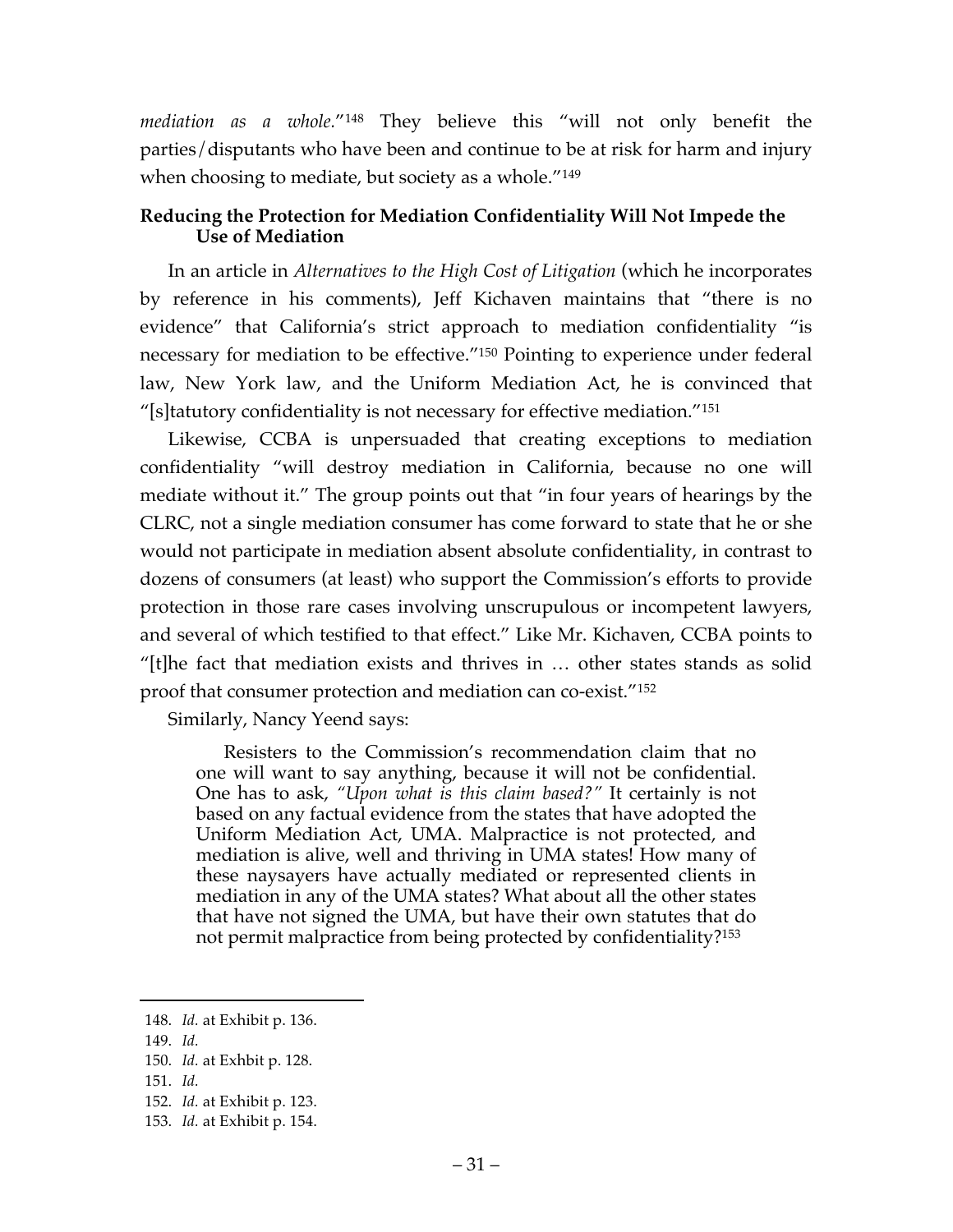*mediation as a whole.*"148 They believe this "will not only benefit the parties/disputants who have been and continue to be at risk for harm and injury when choosing to mediate, but society as a whole.<sup>"149</sup>

## **Reducing the Protection for Mediation Confidentiality Will Not Impede the Use of Mediation**

In an article in *Alternatives to the High Cost of Litigation* (which he incorporates by reference in his comments), Jeff Kichaven maintains that "there is no evidence" that California's strict approach to mediation confidentiality "is necessary for mediation to be effective."150 Pointing to experience under federal law, New York law, and the Uniform Mediation Act, he is convinced that "[s]tatutory confidentiality is not necessary for effective mediation."<sup>151</sup>

Likewise, CCBA is unpersuaded that creating exceptions to mediation confidentiality "will destroy mediation in California, because no one will mediate without it." The group points out that "in four years of hearings by the CLRC, not a single mediation consumer has come forward to state that he or she would not participate in mediation absent absolute confidentiality, in contrast to dozens of consumers (at least) who support the Commission's efforts to provide protection in those rare cases involving unscrupulous or incompetent lawyers, and several of which testified to that effect." Like Mr. Kichaven, CCBA points to "[t]he fact that mediation exists and thrives in … other states stands as solid proof that consumer protection and mediation can co-exist."152

Similarly, Nancy Yeend says:

Resisters to the Commission's recommendation claim that no one will want to say anything, because it will not be confidential. One has to ask, *"Upon what is this claim based?"* It certainly is not based on any factual evidence from the states that have adopted the Uniform Mediation Act, UMA. Malpractice is not protected, and mediation is alive, well and thriving in UMA states! How many of these naysayers have actually mediated or represented clients in mediation in any of the UMA states? What about all the other states that have not signed the UMA, but have their own statutes that do not permit malpractice from being protected by confidentiality?153

<sup>148.</sup> *Id.* at Exhibit p. 136.

<sup>149.</sup> *Id.*

<sup>150.</sup> *Id.* at Exhbit p. 128.

<sup>151.</sup> *Id.*

<sup>152.</sup> *Id.* at Exhibit p. 123.

<sup>153.</sup> *Id.* at Exhibit p. 154.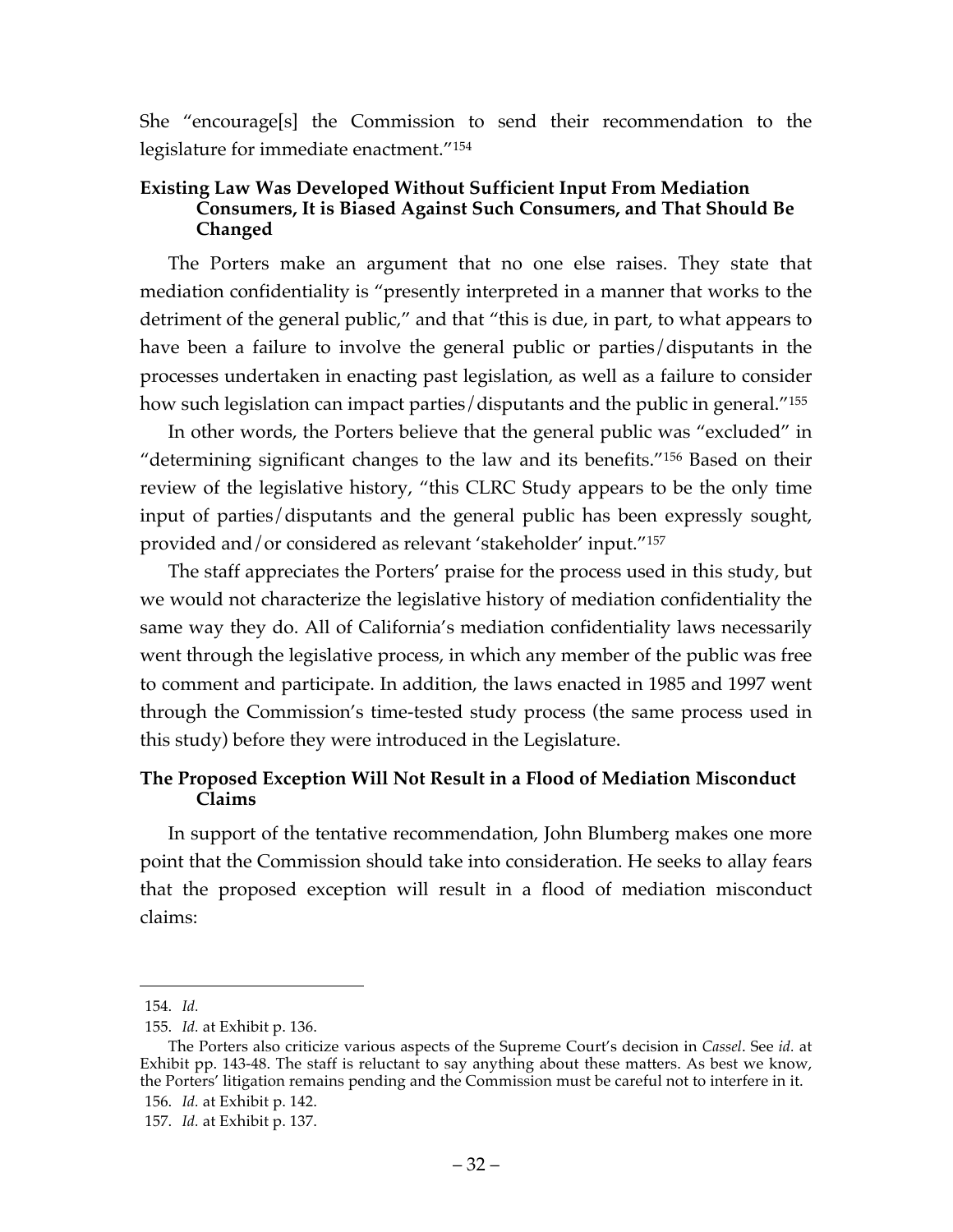She "encourage[s] the Commission to send their recommendation to the legislature for immediate enactment."154

# **Existing Law Was Developed Without Sufficient Input From Mediation Consumers, It is Biased Against Such Consumers, and That Should Be Changed**

The Porters make an argument that no one else raises. They state that mediation confidentiality is "presently interpreted in a manner that works to the detriment of the general public," and that "this is due, in part, to what appears to have been a failure to involve the general public or parties/disputants in the processes undertaken in enacting past legislation, as well as a failure to consider how such legislation can impact parties/disputants and the public in general."<sup>155</sup>

In other words, the Porters believe that the general public was "excluded" in "determining significant changes to the law and its benefits."156 Based on their review of the legislative history, "this CLRC Study appears to be the only time input of parties/disputants and the general public has been expressly sought, provided and/or considered as relevant 'stakeholder' input."157

The staff appreciates the Porters' praise for the process used in this study, but we would not characterize the legislative history of mediation confidentiality the same way they do. All of California's mediation confidentiality laws necessarily went through the legislative process, in which any member of the public was free to comment and participate. In addition, the laws enacted in 1985 and 1997 went through the Commission's time-tested study process (the same process used in this study) before they were introduced in the Legislature.

# **The Proposed Exception Will Not Result in a Flood of Mediation Misconduct Claims**

In support of the tentative recommendation, John Blumberg makes one more point that the Commission should take into consideration. He seeks to allay fears that the proposed exception will result in a flood of mediation misconduct claims:

<sup>154.</sup> *Id.*

<sup>155.</sup> *Id.* at Exhibit p. 136.

The Porters also criticize various aspects of the Supreme Court's decision in *Cassel*. See *id.* at Exhibit pp. 143-48. The staff is reluctant to say anything about these matters. As best we know, the Porters' litigation remains pending and the Commission must be careful not to interfere in it.

<sup>156.</sup> *Id.* at Exhibit p. 142.

<sup>157.</sup> *Id.* at Exhibit p. 137.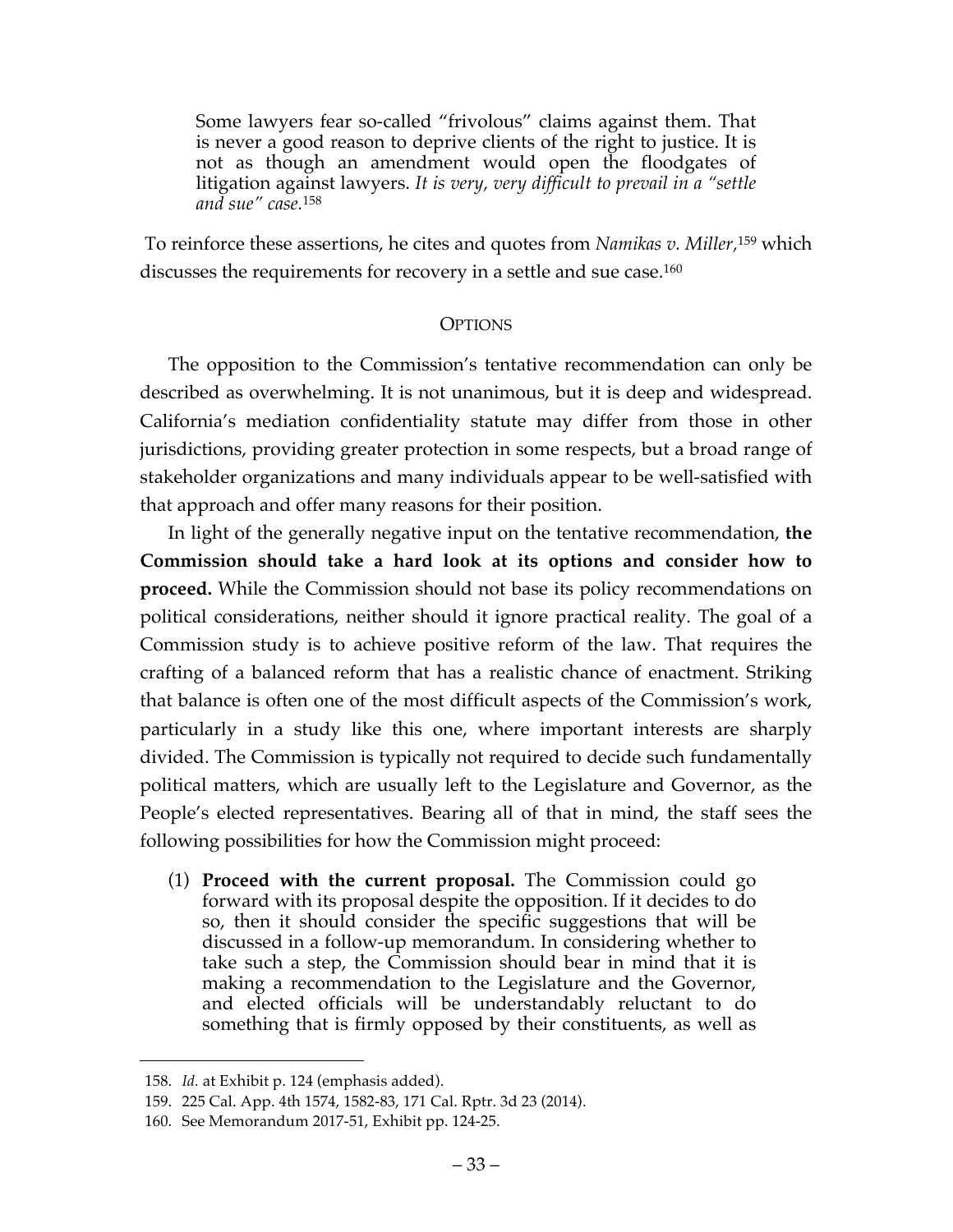Some lawyers fear so-called "frivolous" claims against them. That is never a good reason to deprive clients of the right to justice. It is not as though an amendment would open the floodgates of litigation against lawyers. *It is very, very difficult to prevail in a "settle and sue" case.*<sup>158</sup>

To reinforce these assertions, he cites and quotes from *Namikas v. Miller,*<sup>159</sup> which discusses the requirements for recovery in a settle and sue case.<sup>160</sup>

# **OPTIONS**

The opposition to the Commission's tentative recommendation can only be described as overwhelming. It is not unanimous, but it is deep and widespread. California's mediation confidentiality statute may differ from those in other jurisdictions, providing greater protection in some respects, but a broad range of stakeholder organizations and many individuals appear to be well-satisfied with that approach and offer many reasons for their position.

In light of the generally negative input on the tentative recommendation, **the Commission should take a hard look at its options and consider how to proceed.** While the Commission should not base its policy recommendations on political considerations, neither should it ignore practical reality. The goal of a Commission study is to achieve positive reform of the law. That requires the crafting of a balanced reform that has a realistic chance of enactment. Striking that balance is often one of the most difficult aspects of the Commission's work, particularly in a study like this one, where important interests are sharply divided. The Commission is typically not required to decide such fundamentally political matters, which are usually left to the Legislature and Governor, as the People's elected representatives. Bearing all of that in mind, the staff sees the following possibilities for how the Commission might proceed:

(1) **Proceed with the current proposal.** The Commission could go forward with its proposal despite the opposition. If it decides to do so, then it should consider the specific suggestions that will be discussed in a follow-up memorandum. In considering whether to take such a step, the Commission should bear in mind that it is making a recommendation to the Legislature and the Governor, and elected officials will be understandably reluctant to do something that is firmly opposed by their constituents, as well as

<sup>158.</sup> *Id.* at Exhibit p. 124 (emphasis added).

<sup>159.</sup> 225 Cal. App. 4th 1574, 1582-83, 171 Cal. Rptr. 3d 23 (2014).

<sup>160.</sup> See Memorandum 2017-51, Exhibit pp. 124-25.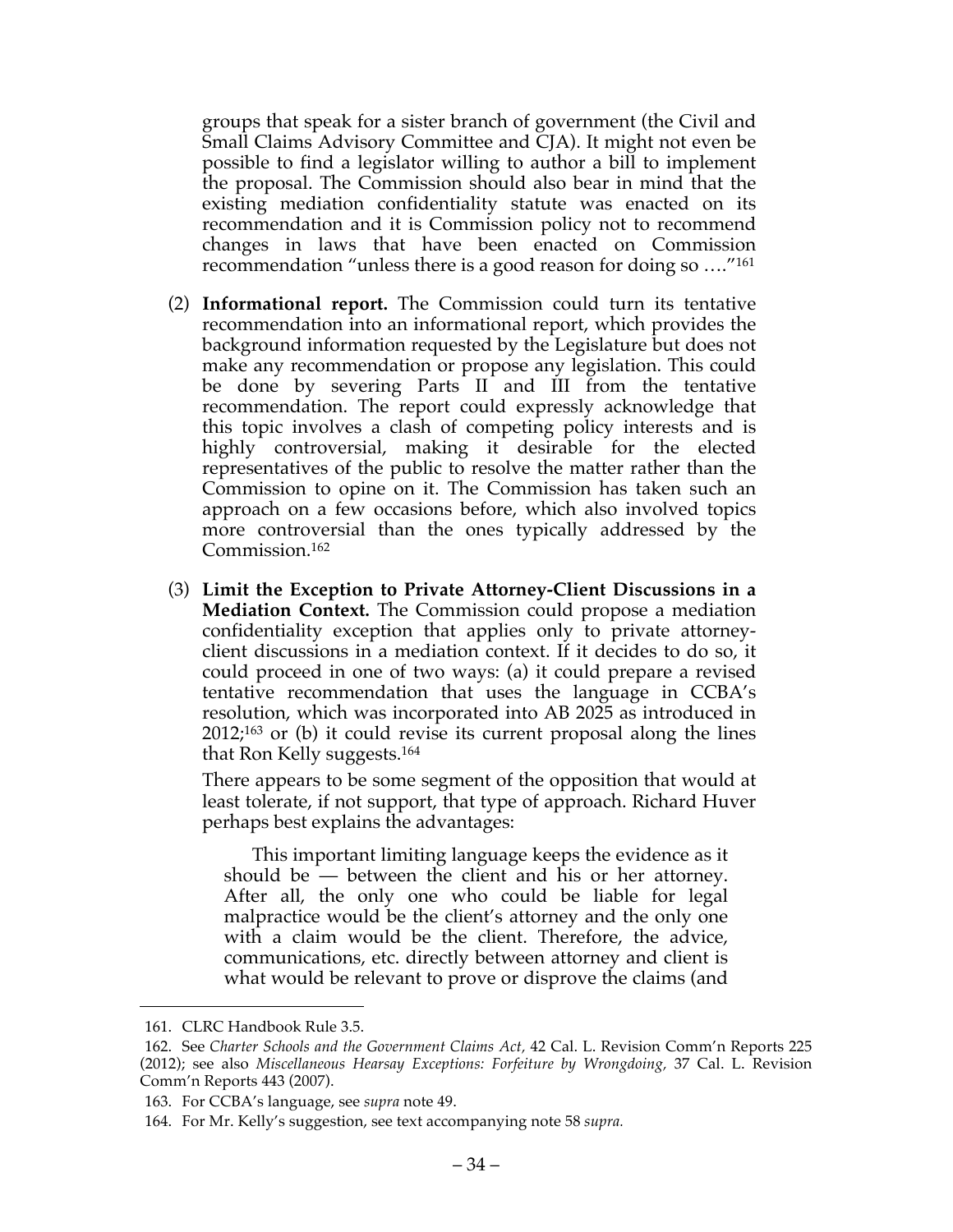groups that speak for a sister branch of government (the Civil and Small Claims Advisory Committee and CJA). It might not even be possible to find a legislator willing to author a bill to implement the proposal. The Commission should also bear in mind that the existing mediation confidentiality statute was enacted on its recommendation and it is Commission policy not to recommend changes in laws that have been enacted on Commission recommendation "unless there is a good reason for doing so …."161

- (2) **Informational report.** The Commission could turn its tentative recommendation into an informational report, which provides the background information requested by the Legislature but does not make any recommendation or propose any legislation. This could be done by severing Parts II and III from the tentative recommendation. The report could expressly acknowledge that this topic involves a clash of competing policy interests and is highly controversial, making it desirable for the elected representatives of the public to resolve the matter rather than the Commission to opine on it. The Commission has taken such an approach on a few occasions before, which also involved topics more controversial than the ones typically addressed by the Commission.162
- (3) **Limit the Exception to Private Attorney-Client Discussions in a Mediation Context.** The Commission could propose a mediation confidentiality exception that applies only to private attorneyclient discussions in a mediation context. If it decides to do so, it could proceed in one of two ways: (a) it could prepare a revised tentative recommendation that uses the language in CCBA's resolution, which was incorporated into AB 2025 as introduced in 2012;163 or (b) it could revise its current proposal along the lines that Ron Kelly suggests.164

There appears to be some segment of the opposition that would at least tolerate, if not support, that type of approach. Richard Huver perhaps best explains the advantages:

This important limiting language keeps the evidence as it should be — between the client and his or her attorney. After all, the only one who could be liable for legal malpractice would be the client's attorney and the only one with a claim would be the client. Therefore, the advice, communications, etc. directly between attorney and client is what would be relevant to prove or disprove the claims (and

<sup>161.</sup> CLRC Handbook Rule 3.5.

<sup>162.</sup> See *Charter Schools and the Government Claims Act,* 42 Cal. L. Revision Comm'n Reports 225 (2012); see also *Miscellaneous Hearsay Exceptions: Forfeiture by Wrongdoing,* 37 Cal. L. Revision Comm'n Reports 443 (2007).

<sup>163.</sup> For CCBA's language, see *supra* note 49.

<sup>164.</sup> For Mr. Kelly's suggestion, see text accompanying note 58 *supra.*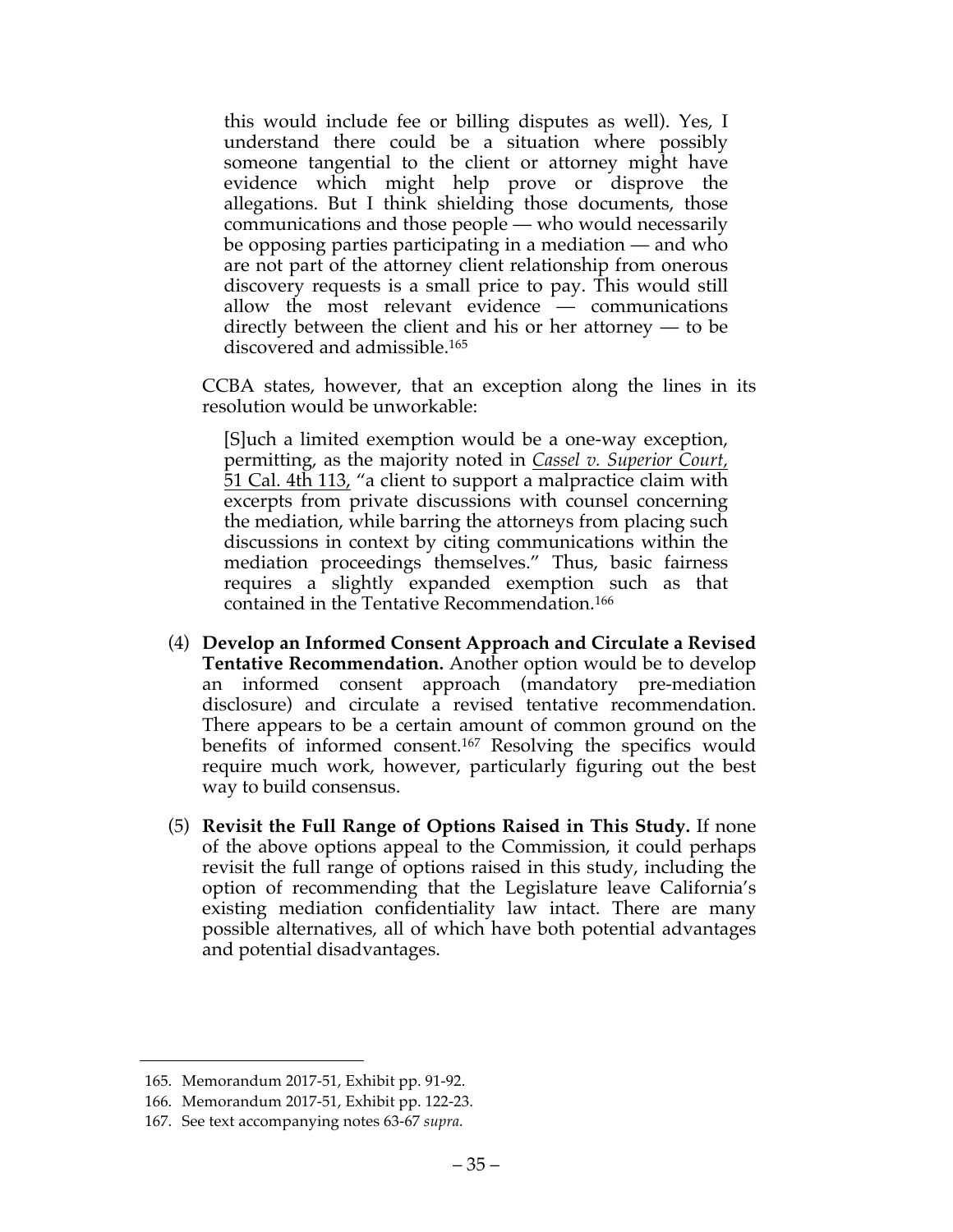this would include fee or billing disputes as well). Yes, I understand there could be a situation where possibly someone tangential to the client or attorney might have evidence which might help prove or disprove the allegations. But I think shielding those documents, those communications and those people — who would necessarily be opposing parties participating in a mediation — and who are not part of the attorney client relationship from onerous discovery requests is a small price to pay. This would still allow the most relevant evidence — communications directly between the client and his or her attorney — to be discovered and admissible.165

CCBA states, however, that an exception along the lines in its resolution would be unworkable:

[S]uch a limited exemption would be a one-way exception, permitting, as the majority noted in *Cassel v. Superior Court,*  51 Cal. 4th 113, "a client to support a malpractice claim with excerpts from private discussions with counsel concerning the mediation, while barring the attorneys from placing such discussions in context by citing communications within the mediation proceedings themselves." Thus, basic fairness requires a slightly expanded exemption such as that contained in the Tentative Recommendation.166

- (4) **Develop an Informed Consent Approach and Circulate a Revised Tentative Recommendation.** Another option would be to develop an informed consent approach (mandatory pre-mediation disclosure) and circulate a revised tentative recommendation. There appears to be a certain amount of common ground on the benefits of informed consent.167 Resolving the specifics would require much work, however, particularly figuring out the best way to build consensus.
- (5) **Revisit the Full Range of Options Raised in This Study.** If none of the above options appeal to the Commission, it could perhaps revisit the full range of options raised in this study, including the option of recommending that the Legislature leave California's existing mediation confidentiality law intact. There are many possible alternatives, all of which have both potential advantages and potential disadvantages.

<sup>165.</sup> Memorandum 2017-51, Exhibit pp. 91-92.

<sup>166.</sup> Memorandum 2017-51, Exhibit pp. 122-23.

<sup>167.</sup> See text accompanying notes 63-67 *supra.*